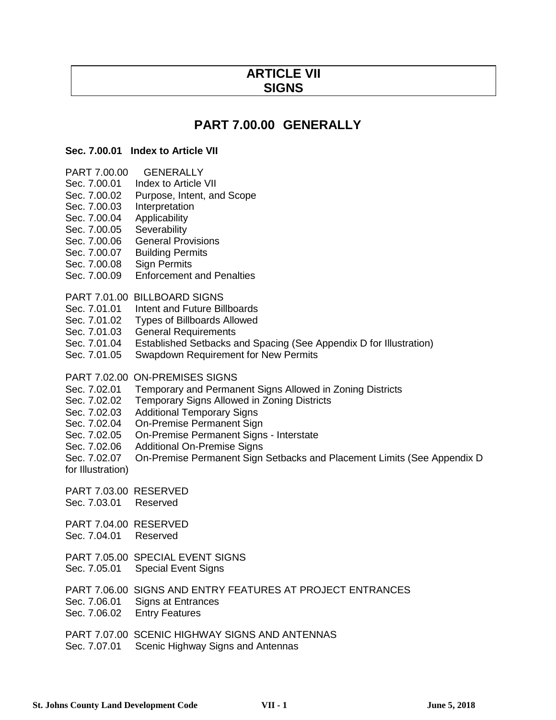# **ARTICLE VII SIGNS**

# **PART 7.00.00 GENERALLY**

### **Sec. 7.00.01 Index to Article VII**

- PART 7.00.00 GENERALLY
- Sec. 7.00.01 Index to Article VII
- Sec. 7.00.02 Purpose, Intent, and Scope
- Sec. 7.00.03 Interpretation
- Sec. 7.00.04 Applicability
- Sec. 7.00.05 Severability
- Sec. 7.00.06 General Provisions
- Sec. 7.00.07 Building Permits
- Sec. 7.00.08 Sign Permits
- Sec. 7.00.09 Enforcement and Penalties
- PART 7.01.00 BILLBOARD SIGNS
- Sec. 7.01.01 Intent and Future Billboards
- Sec. 7.01.02 Types of Billboards Allowed
- Sec. 7.01.03 General Requirements
- Sec. 7.01.04 Established Setbacks and Spacing (See Appendix D for Illustration)<br>Sec. 7.01.05 Swapdown Requirement for New Permits
- Swapdown Requirement for New Permits
- PART 7.02.00 ON-PREMISES SIGNS
- Sec. 7.02.01 Temporary and Permanent Signs Allowed in Zoning Districts
- Sec. 7.02.02 Temporary Signs Allowed in Zoning Districts
- Sec. 7.02.03 Additional Temporary Signs
- Sec. 7.02.04 On-Premise Permanent Sign<br>Sec. 7.02.05 On-Premise Permanent Sign
- On-Premise Permanent Signs Interstate
- Sec. 7.02.06 Additional On-Premise Signs
- Sec. 7.02.07 On-Premise Permanent Sign Setbacks and Placement Limits (See Appendix D for Illustration)
- PART 7.03.00 RESERVED
- Sec. 7.03.01 Reserved
- PART 7.04.00 RESERVED Sec. 7.04.01 Reserved
- PART 7.05.00 SPECIAL EVENT SIGNS
- Sec. 7.05.01 Special Event Signs
- PART 7.06.00 SIGNS AND ENTRY FEATURES AT PROJECT ENTRANCES
- Sec. 7.06.01 Signs at Entrances
- Sec. 7.06.02 Entry Features
- PART 7.07.00 SCENIC HIGHWAY SIGNS AND ANTENNAS
- Sec. 7.07.01 Scenic Highway Signs and Antennas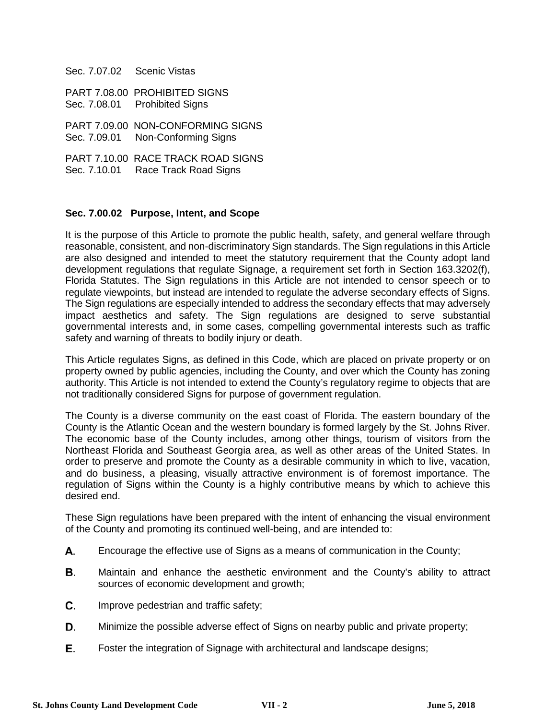| Sec. 7.07.02 Scenic Vistas |                                                                          |
|----------------------------|--------------------------------------------------------------------------|
|                            | PART 7.08.00 PROHIBITED SIGNS<br>Sec. 7.08.01 Prohibited Signs           |
|                            | PART 7.09.00 NON-CONFORMING SIGNS<br>Sec. 7.09.01 Non-Conforming Signs   |
|                            | PART 7.10.00 RACE TRACK ROAD SIGNS<br>Sec. 7.10.01 Race Track Road Signs |

### **Sec. 7.00.02 Purpose, Intent, and Scope**

It is the purpose of this Article to promote the public health, safety, and general welfare through reasonable, consistent, and non-discriminatory Sign standards. The Sign regulations in this Article are also designed and intended to meet the statutory requirement that the County adopt land development regulations that regulate Signage, a requirement set forth in Section 163.3202(f), Florida Statutes. The Sign regulations in this Article are not intended to censor speech or to regulate viewpoints, but instead are intended to regulate the adverse secondary effects of Signs. The Sign regulations are especially intended to address the secondary effects that may adversely impact aesthetics and safety. The Sign regulations are designed to serve substantial governmental interests and, in some cases, compelling governmental interests such as traffic safety and warning of threats to bodily injury or death.

This Article regulates Signs, as defined in this Code, which are placed on private property or on property owned by public agencies, including the County, and over which the County has zoning authority. This Article is not intended to extend the County's regulatory regime to objects that are not traditionally considered Signs for purpose of government regulation.

The County is a diverse community on the east coast of Florida. The eastern boundary of the County is the Atlantic Ocean and the western boundary is formed largely by the St. Johns River. The economic base of the County includes, among other things, tourism of visitors from the Northeast Florida and Southeast Georgia area, as well as other areas of the United States. In order to preserve and promote the County as a desirable community in which to live, vacation, and do business, a pleasing, visually attractive environment is of foremost importance. The regulation of Signs within the County is a highly contributive means by which to achieve this desired end.

These Sign regulations have been prepared with the intent of enhancing the visual environment of the County and promoting its continued well-being, and are intended to:

- А. Encourage the effective use of Signs as a means of communication in the County;
- В. Maintain and enhance the aesthetic environment and the County's ability to attract sources of economic development and growth;
- C. Improve pedestrian and traffic safety;
- D. Minimize the possible adverse effect of Signs on nearby public and private property;
- Е. Foster the integration of Signage with architectural and landscape designs;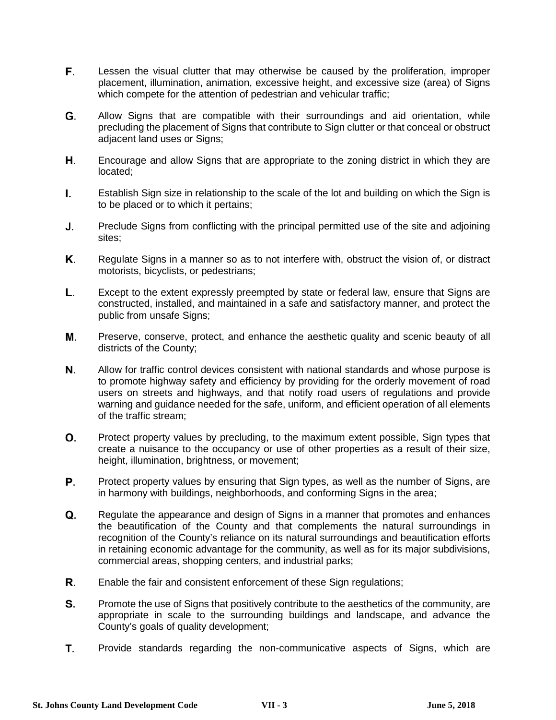- F. Lessen the visual clutter that may otherwise be caused by the proliferation, improper placement, illumination, animation, excessive height, and excessive size (area) of Signs which compete for the attention of pedestrian and vehicular traffic;
- G. Allow Signs that are compatible with their surroundings and aid orientation, while precluding the placement of Signs that contribute to Sign clutter or that conceal or obstruct adjacent land uses or Signs;
- Η. Encourage and allow Signs that are appropriate to the zoning district in which they are located;
- Establish Sign size in relationship to the scale of the lot and building on which the Sign is L. to be placed or to which it pertains;
- J. Preclude Signs from conflicting with the principal permitted use of the site and adjoining sites;
- Κ. Regulate Signs in a manner so as to not interfere with, obstruct the vision of, or distract motorists, bicyclists, or pedestrians;
- L. Except to the extent expressly preempted by state or federal law, ensure that Signs are constructed, installed, and maintained in a safe and satisfactory manner, and protect the public from unsafe Signs;
- М. Preserve, conserve, protect, and enhance the aesthetic quality and scenic beauty of all districts of the County;
- Ν. Allow for traffic control devices consistent with national standards and whose purpose is to promote highway safety and efficiency by providing for the orderly movement of road users on streets and highways, and that notify road users of regulations and provide warning and guidance needed for the safe, uniform, and efficient operation of all elements of the traffic stream;
- О. Protect property values by precluding, to the maximum extent possible, Sign types that create a nuisance to the occupancy or use of other properties as a result of their size, height, illumination, brightness, or movement;
- P. Protect property values by ensuring that Sign types, as well as the number of Signs, are in harmony with buildings, neighborhoods, and conforming Signs in the area;
- Q. Regulate the appearance and design of Signs in a manner that promotes and enhances the beautification of the County and that complements the natural surroundings in recognition of the County's reliance on its natural surroundings and beautification efforts in retaining economic advantage for the community, as well as for its major subdivisions, commercial areas, shopping centers, and industrial parks;
- R. Enable the fair and consistent enforcement of these Sign regulations;
- S. Promote the use of Signs that positively contribute to the aesthetics of the community, are appropriate in scale to the surrounding buildings and landscape, and advance the County's goals of quality development;
- T. Provide standards regarding the non-communicative aspects of Signs, which are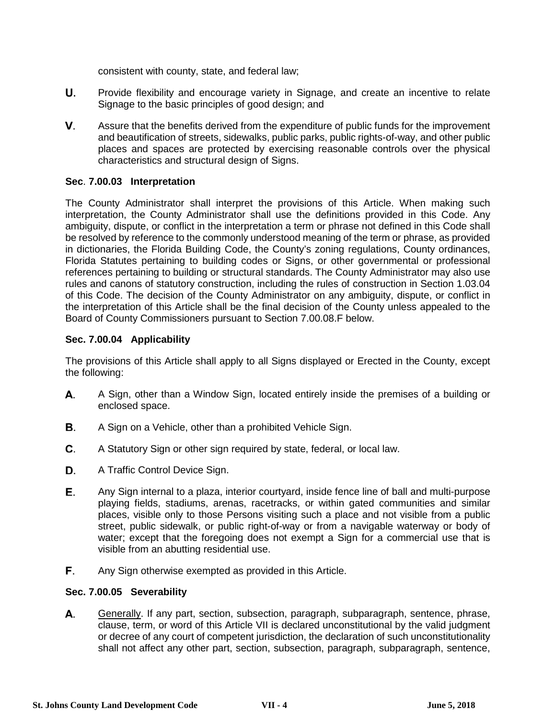consistent with county, state, and federal law;

- U. Provide flexibility and encourage variety in Signage, and create an incentive to relate Signage to the basic principles of good design; and
- V. Assure that the benefits derived from the expenditure of public funds for the improvement and beautification of streets, sidewalks, public parks, public rights-of-way, and other public places and spaces are protected by exercising reasonable controls over the physical characteristics and structural design of Signs.

## **Sec**. **7.00.03 Interpretation**

The County Administrator shall interpret the provisions of this Article. When making such interpretation, the County Administrator shall use the definitions provided in this Code. Any ambiguity, dispute, or conflict in the interpretation a term or phrase not defined in this Code shall be resolved by reference to the commonly understood meaning of the term or phrase, as provided in dictionaries, the Florida Building Code, the County's zoning regulations, County ordinances, Florida Statutes pertaining to building codes or Signs, or other governmental or professional references pertaining to building or structural standards. The County Administrator may also use rules and canons of statutory construction, including the rules of construction in Section 1.03.04 of this Code. The decision of the County Administrator on any ambiguity, dispute, or conflict in the interpretation of this Article shall be the final decision of the County unless appealed to the Board of County Commissioners pursuant to Section 7.00.08.F below.

### **Sec. 7.00.04 Applicability**

The provisions of this Article shall apply to all Signs displayed or Erected in the County, except the following:

- А. A Sign, other than a Window Sign, located entirely inside the premises of a building or enclosed space.
- В. A Sign on a Vehicle, other than a prohibited Vehicle Sign.
- C. A Statutory Sign or other sign required by state, federal, or local law.
- D. A Traffic Control Device Sign.
- Е. Any Sign internal to a plaza, interior courtyard, inside fence line of ball and multi-purpose playing fields, stadiums, arenas, racetracks, or within gated communities and similar places, visible only to those Persons visiting such a place and not visible from a public street, public sidewalk, or public right-of-way or from a navigable waterway or body of water; except that the foregoing does not exempt a Sign for a commercial use that is visible from an abutting residential use.
- F. Any Sign otherwise exempted as provided in this Article.

### **Sec. 7.00.05 Severability**

А. Generally. If any part, section, subsection, paragraph, subparagraph, sentence, phrase, clause, term, or word of this Article VII is declared unconstitutional by the valid judgment or decree of any court of competent jurisdiction, the declaration of such unconstitutionality shall not affect any other part, section, subsection, paragraph, subparagraph, sentence,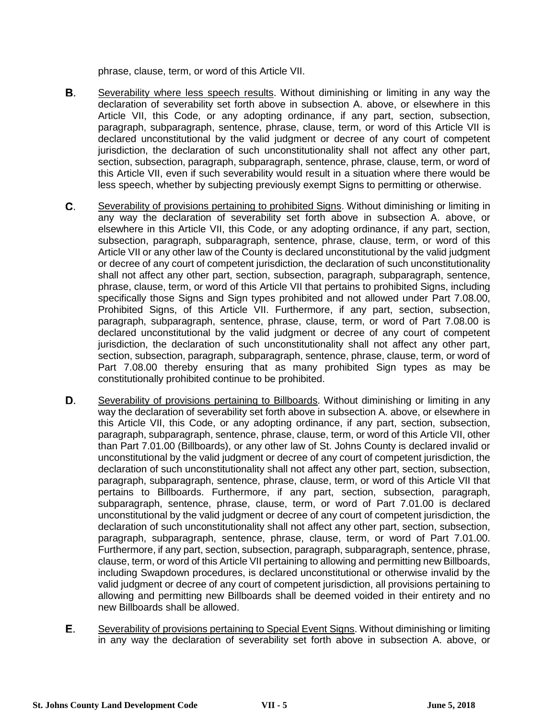phrase, clause, term, or word of this Article VII.

- В. Severability where less speech results. Without diminishing or limiting in any way the declaration of severability set forth above in subsection A. above, or elsewhere in this Article VII, this Code, or any adopting ordinance, if any part, section, subsection, paragraph, subparagraph, sentence, phrase, clause, term, or word of this Article VII is declared unconstitutional by the valid judgment or decree of any court of competent jurisdiction, the declaration of such unconstitutionality shall not affect any other part, section, subsection, paragraph, subparagraph, sentence, phrase, clause, term, or word of this Article VII, even if such severability would result in a situation where there would be less speech, whether by subjecting previously exempt Signs to permitting or otherwise.
- C. Severability of provisions pertaining to prohibited Signs. Without diminishing or limiting in any way the declaration of severability set forth above in subsection A. above, or elsewhere in this Article VII, this Code, or any adopting ordinance, if any part, section, subsection, paragraph, subparagraph, sentence, phrase, clause, term, or word of this Article VII or any other law of the County is declared unconstitutional by the valid judgment or decree of any court of competent jurisdiction, the declaration of such unconstitutionality shall not affect any other part, section, subsection, paragraph, subparagraph, sentence, phrase, clause, term, or word of this Article VII that pertains to prohibited Signs, including specifically those Signs and Sign types prohibited and not allowed under Part 7.08.00, Prohibited Signs, of this Article VII. Furthermore, if any part, section, subsection, paragraph, subparagraph, sentence, phrase, clause, term, or word of Part 7.08.00 is declared unconstitutional by the valid judgment or decree of any court of competent jurisdiction, the declaration of such unconstitutionality shall not affect any other part, section, subsection, paragraph, subparagraph, sentence, phrase, clause, term, or word of Part 7.08.00 thereby ensuring that as many prohibited Sign types as may be constitutionally prohibited continue to be prohibited.
- D. Severability of provisions pertaining to Billboards. Without diminishing or limiting in any way the declaration of severability set forth above in subsection A. above, or elsewhere in this Article VII, this Code, or any adopting ordinance, if any part, section, subsection, paragraph, subparagraph, sentence, phrase, clause, term, or word of this Article VII, other than Part 7.01.00 (Billboards), or any other law of St. Johns County is declared invalid or unconstitutional by the valid judgment or decree of any court of competent jurisdiction, the declaration of such unconstitutionality shall not affect any other part, section, subsection, paragraph, subparagraph, sentence, phrase, clause, term, or word of this Article VII that pertains to Billboards. Furthermore, if any part, section, subsection, paragraph, subparagraph, sentence, phrase, clause, term, or word of Part 7.01.00 is declared unconstitutional by the valid judgment or decree of any court of competent jurisdiction, the declaration of such unconstitutionality shall not affect any other part, section, subsection, paragraph, subparagraph, sentence, phrase, clause, term, or word of Part 7.01.00. Furthermore, if any part, section, subsection, paragraph, subparagraph, sentence, phrase, clause, term, or word of this Article VII pertaining to allowing and permitting new Billboards, including Swapdown procedures, is declared unconstitutional or otherwise invalid by the valid judgment or decree of any court of competent jurisdiction, all provisions pertaining to allowing and permitting new Billboards shall be deemed voided in their entirety and no new Billboards shall be allowed.
- Е. Severability of provisions pertaining to Special Event Signs. Without diminishing or limiting in any way the declaration of severability set forth above in subsection A. above, or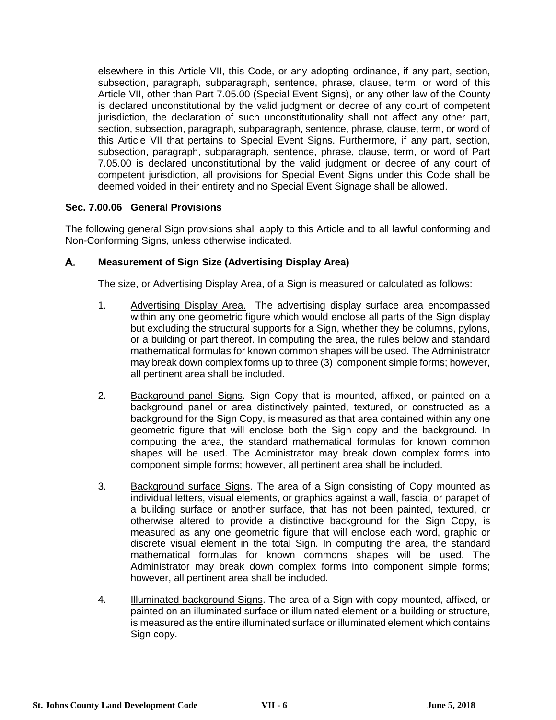elsewhere in this Article VII, this Code, or any adopting ordinance, if any part, section, subsection, paragraph, subparagraph, sentence, phrase, clause, term, or word of this Article VII, other than Part 7.05.00 (Special Event Signs), or any other law of the County is declared unconstitutional by the valid judgment or decree of any court of competent jurisdiction, the declaration of such unconstitutionality shall not affect any other part, section, subsection, paragraph, subparagraph, sentence, phrase, clause, term, or word of this Article VII that pertains to Special Event Signs. Furthermore, if any part, section, subsection, paragraph, subparagraph, sentence, phrase, clause, term, or word of Part 7.05.00 is declared unconstitutional by the valid judgment or decree of any court of competent jurisdiction, all provisions for Special Event Signs under this Code shall be deemed voided in their entirety and no Special Event Signage shall be allowed.

## **Sec. 7.00.06 General Provisions**

The following general Sign provisions shall apply to this Article and to all lawful conforming and Non-Conforming Signs, unless otherwise indicated.

### А. **Measurement of Sign Size (Advertising Display Area)**

The size, or Advertising Display Area, of a Sign is measured or calculated as follows:

- 1. Advertising Display Area. The advertising display surface area encompassed within any one geometric figure which would enclose all parts of the Sign display but excluding the structural supports for a Sign, whether they be columns, pylons, or a building or part thereof. In computing the area, the rules below and standard mathematical formulas for known common shapes will be used. The Administrator may break down complex forms up to three (3) component simple forms; however, all pertinent area shall be included.
- 2. Background panel Signs. Sign Copy that is mounted, affixed, or painted on a background panel or area distinctively painted, textured, or constructed as a background for the Sign Copy, is measured as that area contained within any one geometric figure that will enclose both the Sign copy and the background. In computing the area, the standard mathematical formulas for known common shapes will be used. The Administrator may break down complex forms into component simple forms; however, all pertinent area shall be included.
- 3. Background surface Signs. The area of a Sign consisting of Copy mounted as individual letters, visual elements, or graphics against a wall, fascia, or parapet of a building surface or another surface, that has not been painted, textured, or otherwise altered to provide a distinctive background for the Sign Copy, is measured as any one geometric figure that will enclose each word, graphic or discrete visual element in the total Sign. In computing the area, the standard mathematical formulas for known commons shapes will be used. The Administrator may break down complex forms into component simple forms; however, all pertinent area shall be included.
- 4. Illuminated background Signs. The area of a Sign with copy mounted, affixed, or painted on an illuminated surface or illuminated element or a building or structure, is measured as the entire illuminated surface or illuminated element which contains Sign copy.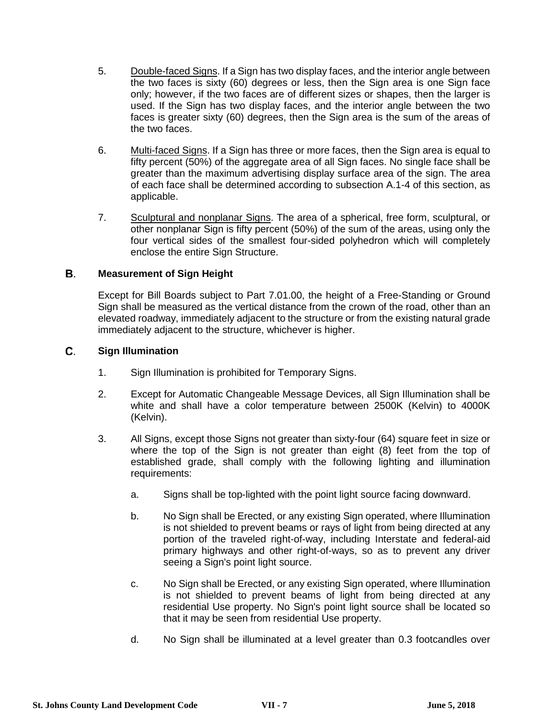- 5. Double-faced Signs. If a Sign has two display faces, and the interior angle between the two faces is sixty (60) degrees or less, then the Sign area is one Sign face only; however, if the two faces are of different sizes or shapes, then the larger is used. If the Sign has two display faces, and the interior angle between the two faces is greater sixty (60) degrees, then the Sign area is the sum of the areas of the two faces.
- 6. Multi-faced Signs. If a Sign has three or more faces, then the Sign area is equal to fifty percent (50%) of the aggregate area of all Sign faces. No single face shall be greater than the maximum advertising display surface area of the sign. The area of each face shall be determined according to subsection A.1-4 of this section, as applicable.
- 7. Sculptural and nonplanar Signs. The area of a spherical, free form, sculptural, or other nonplanar Sign is fifty percent (50%) of the sum of the areas, using only the four vertical sides of the smallest four-sided polyhedron which will completely enclose the entire Sign Structure.

### В. **Measurement of Sign Height**

Except for Bill Boards subject to Part 7.01.00, the height of a Free-Standing or Ground Sign shall be measured as the vertical distance from the crown of the road, other than an elevated roadway, immediately adjacent to the structure or from the existing natural grade immediately adjacent to the structure, whichever is higher.

### C. **Sign Illumination**

- 1. Sign Illumination is prohibited for Temporary Signs.
- 2. Except for Automatic Changeable Message Devices, all Sign Illumination shall be white and shall have a color temperature between 2500K (Kelvin) to 4000K (Kelvin).
- 3. All Signs, except those Signs not greater than sixty-four (64) square feet in size or where the top of the Sign is not greater than eight (8) feet from the top of established grade, shall comply with the following lighting and illumination requirements:
	- a. Signs shall be top-lighted with the point light source facing downward.
	- b. No Sign shall be Erected, or any existing Sign operated, where Illumination is not shielded to prevent beams or rays of light from being directed at any portion of the traveled right-of-way, including Interstate and federal-aid primary highways and other right-of-ways, so as to prevent any driver seeing a Sign's point light source.
	- c. No Sign shall be Erected, or any existing Sign operated, where Illumination is not shielded to prevent beams of light from being directed at any residential Use property. No Sign's point light source shall be located so that it may be seen from residential Use property.
	- d. No Sign shall be illuminated at a level greater than 0.3 footcandles over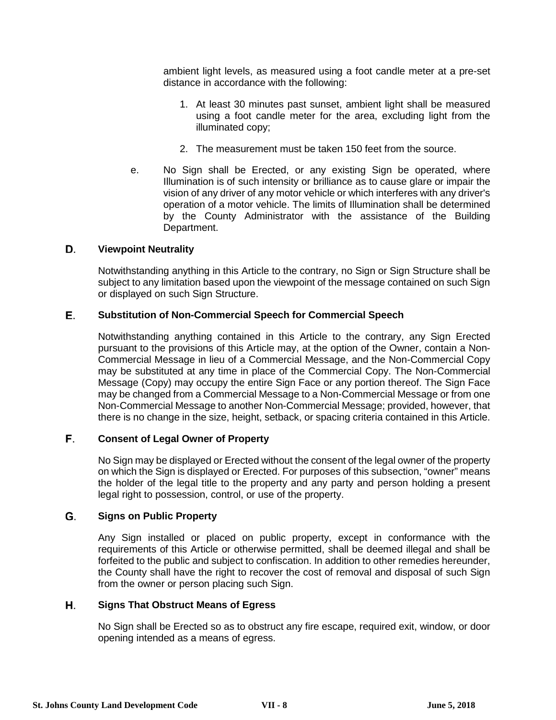ambient light levels, as measured using a foot candle meter at a pre-set distance in accordance with the following:

- 1. At least 30 minutes past sunset, ambient light shall be measured using a foot candle meter for the area, excluding light from the illuminated copy;
- 2. The measurement must be taken 150 feet from the source.
- e. No Sign shall be Erected, or any existing Sign be operated, where Illumination is of such intensity or brilliance as to cause glare or impair the vision of any driver of any motor vehicle or which interferes with any driver's operation of a motor vehicle. The limits of Illumination shall be determined by the County Administrator with the assistance of the Building Department.

### D. **Viewpoint Neutrality**

Notwithstanding anything in this Article to the contrary, no Sign or Sign Structure shall be subject to any limitation based upon the viewpoint of the message contained on such Sign or displayed on such Sign Structure.

### Е. **Substitution of Non-Commercial Speech for Commercial Speech**

Notwithstanding anything contained in this Article to the contrary, any Sign Erected pursuant to the provisions of this Article may, at the option of the Owner, contain a Non-Commercial Message in lieu of a Commercial Message, and the Non-Commercial Copy may be substituted at any time in place of the Commercial Copy. The Non-Commercial Message (Copy) may occupy the entire Sign Face or any portion thereof. The Sign Face may be changed from a Commercial Message to a Non-Commercial Message or from one Non-Commercial Message to another Non-Commercial Message; provided, however, that there is no change in the size, height, setback, or spacing criteria contained in this Article.

### F. **Consent of Legal Owner of Property**

No Sign may be displayed or Erected without the consent of the legal owner of the property on which the Sign is displayed or Erected. For purposes of this subsection, "owner" means the holder of the legal title to the property and any party and person holding a present legal right to possession, control, or use of the property.

#### G. **Signs on Public Property**

Any Sign installed or placed on public property, except in conformance with the requirements of this Article or otherwise permitted, shall be deemed illegal and shall be forfeited to the public and subject to confiscation. In addition to other remedies hereunder, the County shall have the right to recover the cost of removal and disposal of such Sign from the owner or person placing such Sign.

### Η. **Signs That Obstruct Means of Egress**

No Sign shall be Erected so as to obstruct any fire escape, required exit, window, or door opening intended as a means of egress.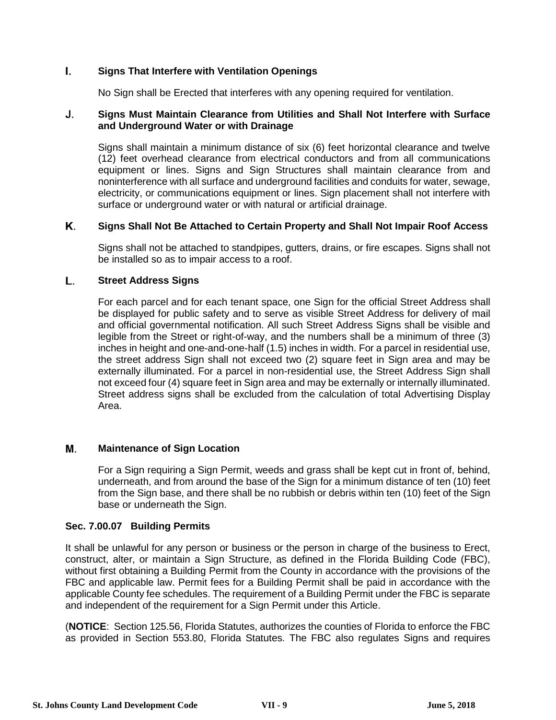### L. **Signs That Interfere with Ventilation Openings**

No Sign shall be Erected that interferes with any opening required for ventilation.

### **Signs Must Maintain Clearance from Utilities and Shall Not Interfere with Surface**  J. **and Underground Water or with Drainage**

Signs shall maintain a minimum distance of six (6) feet horizontal clearance and twelve (12) feet overhead clearance from electrical conductors and from all communications equipment or lines. Signs and Sign Structures shall maintain clearance from and noninterference with all surface and underground facilities and conduits for water, sewage, electricity, or communications equipment or lines. Sign placement shall not interfere with surface or underground water or with natural or artificial drainage.

### Κ. **Signs Shall Not Be Attached to Certain Property and Shall Not Impair Roof Access**

Signs shall not be attached to standpipes, gutters, drains, or fire escapes. Signs shall not be installed so as to impair access to a roof.

### L. **Street Address Signs**

For each parcel and for each tenant space, one Sign for the official Street Address shall be displayed for public safety and to serve as visible Street Address for delivery of mail and official governmental notification. All such Street Address Signs shall be visible and legible from the Street or right-of-way, and the numbers shall be a minimum of three (3) inches in height and one-and-one-half (1.5) inches in width. For a parcel in residential use, the street address Sign shall not exceed two (2) square feet in Sign area and may be externally illuminated. For a parcel in non-residential use, the Street Address Sign shall not exceed four (4) square feet in Sign area and may be externally or internally illuminated. Street address signs shall be excluded from the calculation of total Advertising Display Area.

### М. **Maintenance of Sign Location**

For a Sign requiring a Sign Permit, weeds and grass shall be kept cut in front of, behind, underneath, and from around the base of the Sign for a minimum distance of ten (10) feet from the Sign base, and there shall be no rubbish or debris within ten (10) feet of the Sign base or underneath the Sign.

### **Sec. 7.00.07 Building Permits**

It shall be unlawful for any person or business or the person in charge of the business to Erect, construct, alter, or maintain a Sign Structure, as defined in the Florida Building Code (FBC), without first obtaining a Building Permit from the County in accordance with the provisions of the FBC and applicable law. Permit fees for a Building Permit shall be paid in accordance with the applicable County fee schedules. The requirement of a Building Permit under the FBC is separate and independent of the requirement for a Sign Permit under this Article.

(**NOTICE**: Section 125.56, Florida Statutes, authorizes the counties of Florida to enforce the FBC as provided in Section 553.80, Florida Statutes. The FBC also regulates Signs and requires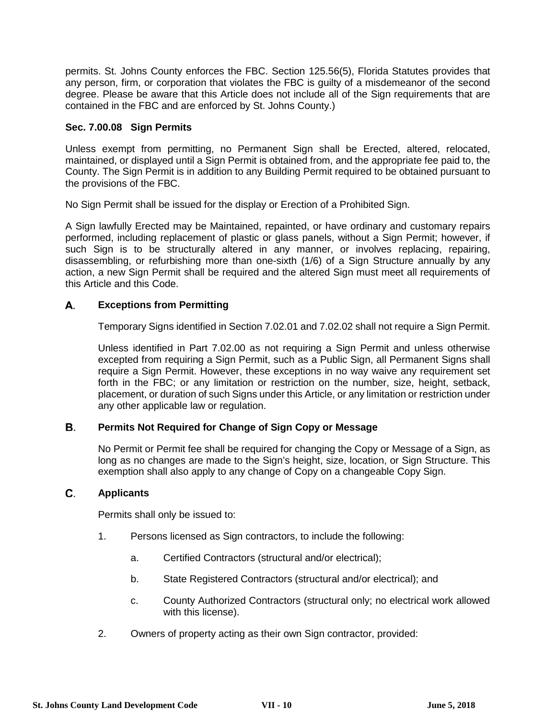permits. St. Johns County enforces the FBC. Section 125.56(5), Florida Statutes provides that any person, firm, or corporation that violates the FBC is guilty of a misdemeanor of the second degree. Please be aware that this Article does not include all of the Sign requirements that are contained in the FBC and are enforced by St. Johns County.)

## **Sec. 7.00.08 Sign Permits**

Unless exempt from permitting, no Permanent Sign shall be Erected, altered, relocated, maintained, or displayed until a Sign Permit is obtained from, and the appropriate fee paid to, the County. The Sign Permit is in addition to any Building Permit required to be obtained pursuant to the provisions of the FBC.

No Sign Permit shall be issued for the display or Erection of a Prohibited Sign.

A Sign lawfully Erected may be Maintained, repainted, or have ordinary and customary repairs performed, including replacement of plastic or glass panels, without a Sign Permit; however, if such Sign is to be structurally altered in any manner, or involves replacing, repairing, disassembling, or refurbishing more than one-sixth (1/6) of a Sign Structure annually by any action, a new Sign Permit shall be required and the altered Sign must meet all requirements of this Article and this Code.

### А. **Exceptions from Permitting**

Temporary Signs identified in Section 7.02.01 and 7.02.02 shall not require a Sign Permit.

Unless identified in Part 7.02.00 as not requiring a Sign Permit and unless otherwise excepted from requiring a Sign Permit, such as a Public Sign, all Permanent Signs shall require a Sign Permit. However, these exceptions in no way waive any requirement set forth in the FBC; or any limitation or restriction on the number, size, height, setback, placement, or duration of such Signs under this Article, or any limitation or restriction under any other applicable law or regulation.

### В. **Permits Not Required for Change of Sign Copy or Message**

No Permit or Permit fee shall be required for changing the Copy or Message of a Sign, as long as no changes are made to the Sign's height, size, location, or Sign Structure. This exemption shall also apply to any change of Copy on a changeable Copy Sign.

#### C. **Applicants**

Permits shall only be issued to:

- 1. Persons licensed as Sign contractors, to include the following:
	- a. Certified Contractors (structural and/or electrical);
	- b. State Registered Contractors (structural and/or electrical); and
	- c. County Authorized Contractors (structural only; no electrical work allowed with this license).
- 2. Owners of property acting as their own Sign contractor, provided: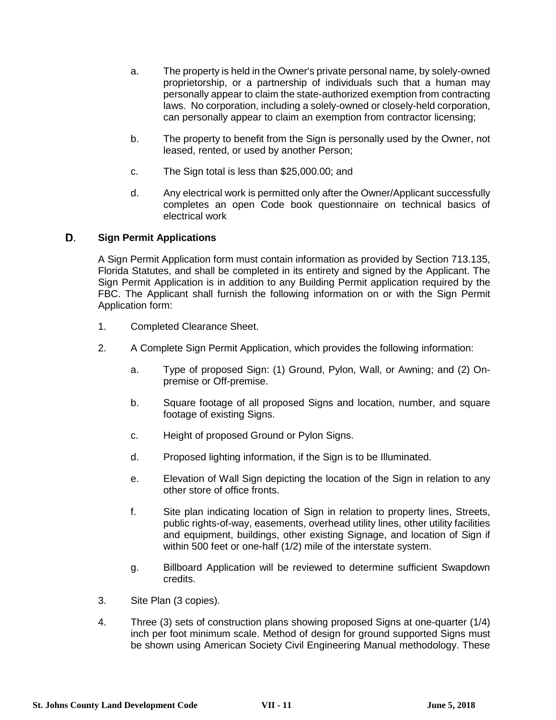- a. The property is held in the Owner's private personal name, by solely-owned proprietorship, or a partnership of individuals such that a human may personally appear to claim the state-authorized exemption from contracting laws. No corporation, including a solely-owned or closely-held corporation, can personally appear to claim an exemption from contractor licensing;
- b. The property to benefit from the Sign is personally used by the Owner, not leased, rented, or used by another Person;
- c. The Sign total is less than \$25,000.00; and
- d. Any electrical work is permitted only after the Owner/Applicant successfully completes an open Code book questionnaire on technical basics of electrical work

### D. **Sign Permit Applications**

A Sign Permit Application form must contain information as provided by Section 713.135, Florida Statutes, and shall be completed in its entirety and signed by the Applicant. The Sign Permit Application is in addition to any Building Permit application required by the FBC. The Applicant shall furnish the following information on or with the Sign Permit Application form:

- 1. Completed Clearance Sheet.
- 2. A Complete Sign Permit Application, which provides the following information:
	- a. Type of proposed Sign: (1) Ground, Pylon, Wall, or Awning; and (2) Onpremise or Off-premise.
	- b. Square footage of all proposed Signs and location, number, and square footage of existing Signs.
	- c. Height of proposed Ground or Pylon Signs.
	- d. Proposed lighting information, if the Sign is to be Illuminated.
	- e. Elevation of Wall Sign depicting the location of the Sign in relation to any other store of office fronts.
	- f. Site plan indicating location of Sign in relation to property lines, Streets, public rights-of-way, easements, overhead utility lines, other utility facilities and equipment, buildings, other existing Signage, and location of Sign if within 500 feet or one-half (1/2) mile of the interstate system.
	- g. Billboard Application will be reviewed to determine sufficient Swapdown credits.
- 3. Site Plan (3 copies).
- 4. Three (3) sets of construction plans showing proposed Signs at one-quarter (1/4) inch per foot minimum scale. Method of design for ground supported Signs must be shown using American Society Civil Engineering Manual methodology. These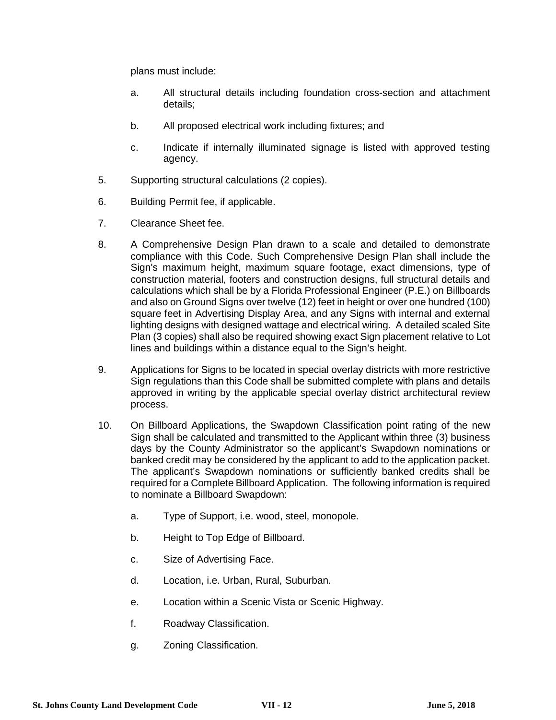plans must include:

- a. All structural details including foundation cross-section and attachment details;
- b. All proposed electrical work including fixtures; and
- c. Indicate if internally illuminated signage is listed with approved testing agency.
- 5. Supporting structural calculations (2 copies).
- 6. Building Permit fee, if applicable.
- 7. Clearance Sheet fee.
- 8. A Comprehensive Design Plan drawn to a scale and detailed to demonstrate compliance with this Code. Such Comprehensive Design Plan shall include the Sign's maximum height, maximum square footage, exact dimensions, type of construction material, footers and construction designs, full structural details and calculations which shall be by a Florida Professional Engineer (P.E.) on Billboards and also on Ground Signs over twelve (12) feet in height or over one hundred (100) square feet in Advertising Display Area, and any Signs with internal and external lighting designs with designed wattage and electrical wiring. A detailed scaled Site Plan (3 copies) shall also be required showing exact Sign placement relative to Lot lines and buildings within a distance equal to the Sign's height.
- 9. Applications for Signs to be located in special overlay districts with more restrictive Sign regulations than this Code shall be submitted complete with plans and details approved in writing by the applicable special overlay district architectural review process.
- 10. On Billboard Applications, the Swapdown Classification point rating of the new Sign shall be calculated and transmitted to the Applicant within three (3) business days by the County Administrator so the applicant's Swapdown nominations or banked credit may be considered by the applicant to add to the application packet. The applicant's Swapdown nominations or sufficiently banked credits shall be required for a Complete Billboard Application. The following information is required to nominate a Billboard Swapdown:
	- a. Type of Support, i.e. wood, steel, monopole.
	- b. Height to Top Edge of Billboard.
	- c. Size of Advertising Face.
	- d. Location, i.e. Urban, Rural, Suburban.
	- e. Location within a Scenic Vista or Scenic Highway.
	- f. Roadway Classification.
	- g. Zoning Classification.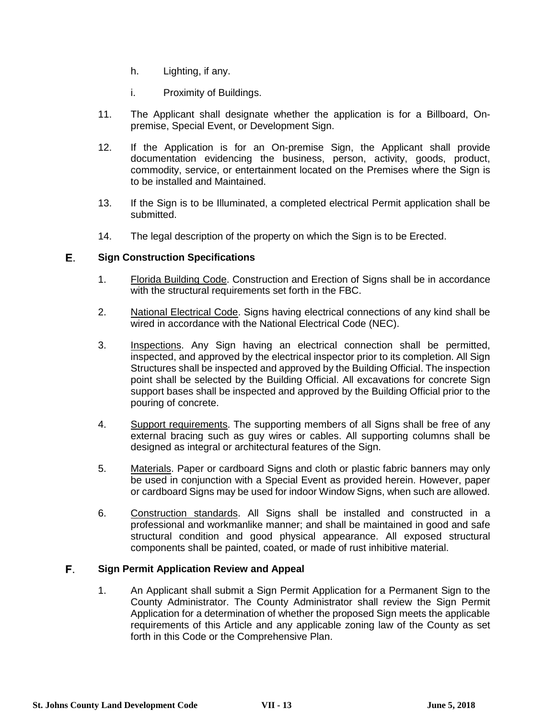- h. Lighting, if any.
- i. Proximity of Buildings.
- 11. The Applicant shall designate whether the application is for a Billboard, Onpremise, Special Event, or Development Sign.
- 12. If the Application is for an On-premise Sign, the Applicant shall provide documentation evidencing the business, person, activity, goods, product, commodity, service, or entertainment located on the Premises where the Sign is to be installed and Maintained.
- 13. If the Sign is to be Illuminated, a completed electrical Permit application shall be submitted.
- 14. The legal description of the property on which the Sign is to be Erected.

### Е. **Sign Construction Specifications**

- 1. Florida Building Code. Construction and Erection of Signs shall be in accordance with the structural requirements set forth in the FBC.
- 2. National Electrical Code. Signs having electrical connections of any kind shall be wired in accordance with the National Electrical Code (NEC).
- 3. Inspections. Any Sign having an electrical connection shall be permitted, inspected, and approved by the electrical inspector prior to its completion. All Sign Structures shall be inspected and approved by the Building Official. The inspection point shall be selected by the Building Official. All excavations for concrete Sign support bases shall be inspected and approved by the Building Official prior to the pouring of concrete.
- 4. Support requirements. The supporting members of all Signs shall be free of any external bracing such as guy wires or cables. All supporting columns shall be designed as integral or architectural features of the Sign.
- 5. Materials. Paper or cardboard Signs and cloth or plastic fabric banners may only be used in conjunction with a Special Event as provided herein. However, paper or cardboard Signs may be used for indoor Window Signs, when such are allowed.
- 6. Construction standards. All Signs shall be installed and constructed in a professional and workmanlike manner; and shall be maintained in good and safe structural condition and good physical appearance. All exposed structural components shall be painted, coated, or made of rust inhibitive material.

### F. **Sign Permit Application Review and Appeal**

1. An Applicant shall submit a Sign Permit Application for a Permanent Sign to the County Administrator. The County Administrator shall review the Sign Permit Application for a determination of whether the proposed Sign meets the applicable requirements of this Article and any applicable zoning law of the County as set forth in this Code or the Comprehensive Plan.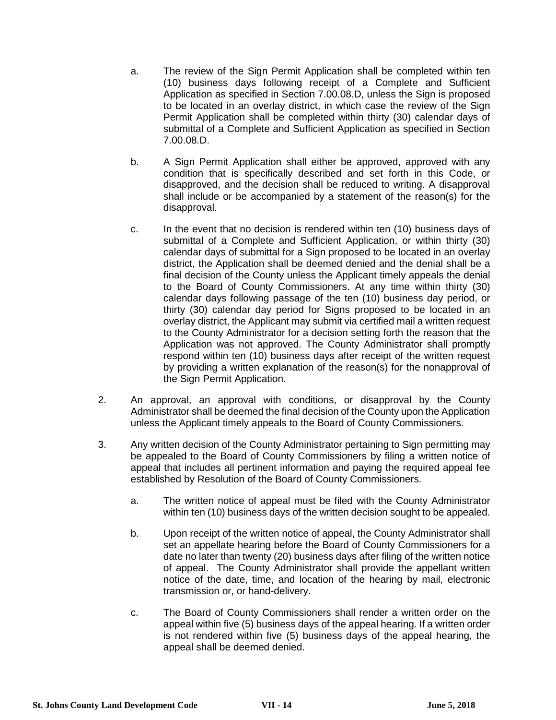- a. The review of the Sign Permit Application shall be completed within ten (10) business days following receipt of a Complete and Sufficient Application as specified in Section 7.00.08.D, unless the Sign is proposed to be located in an overlay district, in which case the review of the Sign Permit Application shall be completed within thirty (30) calendar days of submittal of a Complete and Sufficient Application as specified in Section 7.00.08.D.
- b. A Sign Permit Application shall either be approved, approved with any condition that is specifically described and set forth in this Code, or disapproved, and the decision shall be reduced to writing. A disapproval shall include or be accompanied by a statement of the reason(s) for the disapproval.
- c. In the event that no decision is rendered within ten (10) business days of submittal of a Complete and Sufficient Application, or within thirty (30) calendar days of submittal for a Sign proposed to be located in an overlay district, the Application shall be deemed denied and the denial shall be a final decision of the County unless the Applicant timely appeals the denial to the Board of County Commissioners. At any time within thirty (30) calendar days following passage of the ten (10) business day period, or thirty (30) calendar day period for Signs proposed to be located in an overlay district, the Applicant may submit via certified mail a written request to the County Administrator for a decision setting forth the reason that the Application was not approved. The County Administrator shall promptly respond within ten (10) business days after receipt of the written request by providing a written explanation of the reason(s) for the nonapproval of the Sign Permit Application.
- 2. An approval, an approval with conditions, or disapproval by the County Administrator shall be deemed the final decision of the County upon the Application unless the Applicant timely appeals to the Board of County Commissioners.
- 3. Any written decision of the County Administrator pertaining to Sign permitting may be appealed to the Board of County Commissioners by filing a written notice of appeal that includes all pertinent information and paying the required appeal fee established by Resolution of the Board of County Commissioners.
	- a. The written notice of appeal must be filed with the County Administrator within ten (10) business days of the written decision sought to be appealed.
	- b. Upon receipt of the written notice of appeal, the County Administrator shall set an appellate hearing before the Board of County Commissioners for a date no later than twenty (20) business days after filing of the written notice of appeal. The County Administrator shall provide the appellant written notice of the date, time, and location of the hearing by mail, electronic transmission or, or hand-delivery.
	- c. The Board of County Commissioners shall render a written order on the appeal within five (5) business days of the appeal hearing. If a written order is not rendered within five (5) business days of the appeal hearing, the appeal shall be deemed denied.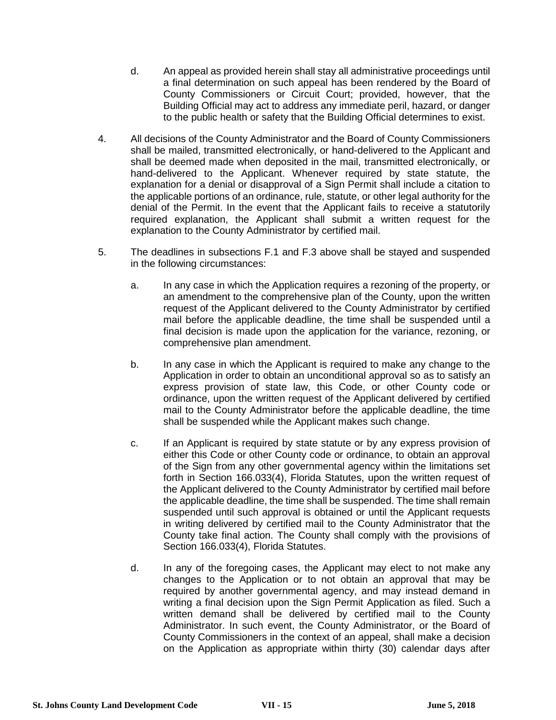- d. An appeal as provided herein shall stay all administrative proceedings until a final determination on such appeal has been rendered by the Board of County Commissioners or Circuit Court; provided, however, that the Building Official may act to address any immediate peril, hazard, or danger to the public health or safety that the Building Official determines to exist.
- 4. All decisions of the County Administrator and the Board of County Commissioners shall be mailed, transmitted electronically, or hand-delivered to the Applicant and shall be deemed made when deposited in the mail, transmitted electronically, or hand-delivered to the Applicant. Whenever required by state statute, the explanation for a denial or disapproval of a Sign Permit shall include a citation to the applicable portions of an ordinance, rule, statute, or other legal authority for the denial of the Permit. In the event that the Applicant fails to receive a statutorily required explanation, the Applicant shall submit a written request for the explanation to the County Administrator by certified mail.
- 5. The deadlines in subsections F.1 and F.3 above shall be stayed and suspended in the following circumstances:
	- a. In any case in which the Application requires a rezoning of the property, or an amendment to the comprehensive plan of the County, upon the written request of the Applicant delivered to the County Administrator by certified mail before the applicable deadline, the time shall be suspended until a final decision is made upon the application for the variance, rezoning, or comprehensive plan amendment.
	- b. In any case in which the Applicant is required to make any change to the Application in order to obtain an unconditional approval so as to satisfy an express provision of state law, this Code, or other County code or ordinance, upon the written request of the Applicant delivered by certified mail to the County Administrator before the applicable deadline, the time shall be suspended while the Applicant makes such change.
	- c. If an Applicant is required by state statute or by any express provision of either this Code or other County code or ordinance, to obtain an approval of the Sign from any other governmental agency within the limitations set forth in Section 166.033(4), Florida Statutes, upon the written request of the Applicant delivered to the County Administrator by certified mail before the applicable deadline, the time shall be suspended. The time shall remain suspended until such approval is obtained or until the Applicant requests in writing delivered by certified mail to the County Administrator that the County take final action. The County shall comply with the provisions of Section 166.033(4), Florida Statutes.
	- d. In any of the foregoing cases, the Applicant may elect to not make any changes to the Application or to not obtain an approval that may be required by another governmental agency, and may instead demand in writing a final decision upon the Sign Permit Application as filed. Such a written demand shall be delivered by certified mail to the County Administrator. In such event, the County Administrator, or the Board of County Commissioners in the context of an appeal, shall make a decision on the Application as appropriate within thirty (30) calendar days after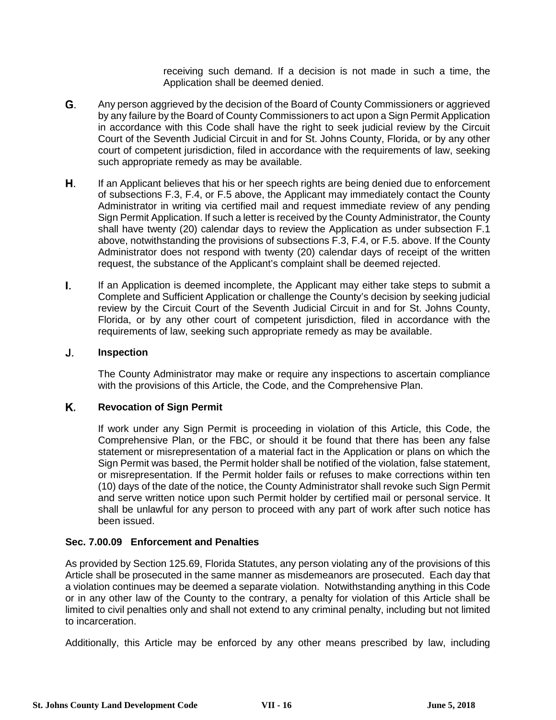receiving such demand. If a decision is not made in such a time, the Application shall be deemed denied.

- G. Any person aggrieved by the decision of the Board of County Commissioners or aggrieved by any failure by the Board of County Commissioners to act upon a Sign Permit Application in accordance with this Code shall have the right to seek judicial review by the Circuit Court of the Seventh Judicial Circuit in and for St. Johns County, Florida, or by any other court of competent jurisdiction, filed in accordance with the requirements of law, seeking such appropriate remedy as may be available.
- Η. If an Applicant believes that his or her speech rights are being denied due to enforcement of subsections F.3, F.4, or F.5 above, the Applicant may immediately contact the County Administrator in writing via certified mail and request immediate review of any pending Sign Permit Application. If such a letter is received by the County Administrator, the County shall have twenty (20) calendar days to review the Application as under subsection F.1 above, notwithstanding the provisions of subsections F.3, F.4, or F.5. above. If the County Administrator does not respond with twenty (20) calendar days of receipt of the written request, the substance of the Applicant's complaint shall be deemed rejected.
- L. If an Application is deemed incomplete, the Applicant may either take steps to submit a Complete and Sufficient Application or challenge the County's decision by seeking judicial review by the Circuit Court of the Seventh Judicial Circuit in and for St. Johns County, Florida, or by any other court of competent jurisdiction, filed in accordance with the requirements of law, seeking such appropriate remedy as may be available.

### J. **Inspection**

The County Administrator may make or require any inspections to ascertain compliance with the provisions of this Article, the Code, and the Comprehensive Plan.

### Κ. **Revocation of Sign Permit**

If work under any Sign Permit is proceeding in violation of this Article, this Code, the Comprehensive Plan, or the FBC, or should it be found that there has been any false statement or misrepresentation of a material fact in the Application or plans on which the Sign Permit was based, the Permit holder shall be notified of the violation, false statement, or misrepresentation. If the Permit holder fails or refuses to make corrections within ten (10) days of the date of the notice, the County Administrator shall revoke such Sign Permit and serve written notice upon such Permit holder by certified mail or personal service. It shall be unlawful for any person to proceed with any part of work after such notice has been issued.

### **Sec. 7.00.09 Enforcement and Penalties**

As provided by Section 125.69, Florida Statutes, any person violating any of the provisions of this Article shall be prosecuted in the same manner as misdemeanors are prosecuted. Each day that a violation continues may be deemed a separate violation. Notwithstanding anything in this Code or in any other law of the County to the contrary, a penalty for violation of this Article shall be limited to civil penalties only and shall not extend to any criminal penalty, including but not limited to incarceration.

Additionally, this Article may be enforced by any other means prescribed by law, including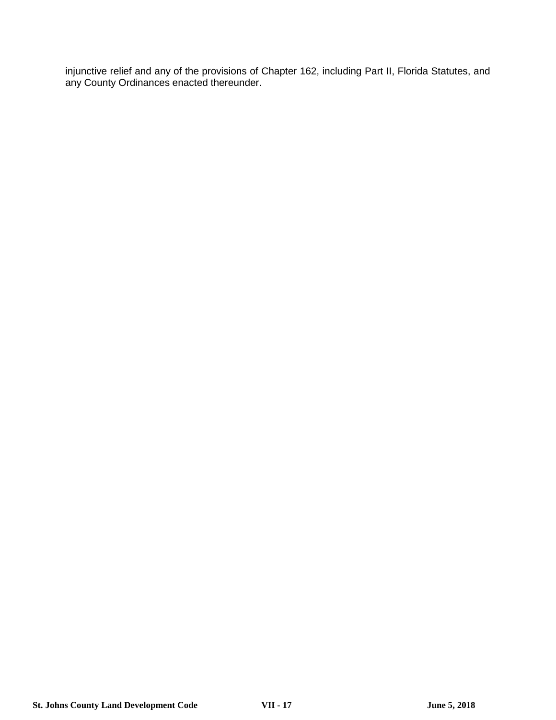injunctive relief and any of the provisions of Chapter 162, including Part II, Florida Statutes, and any County Ordinances enacted thereunder.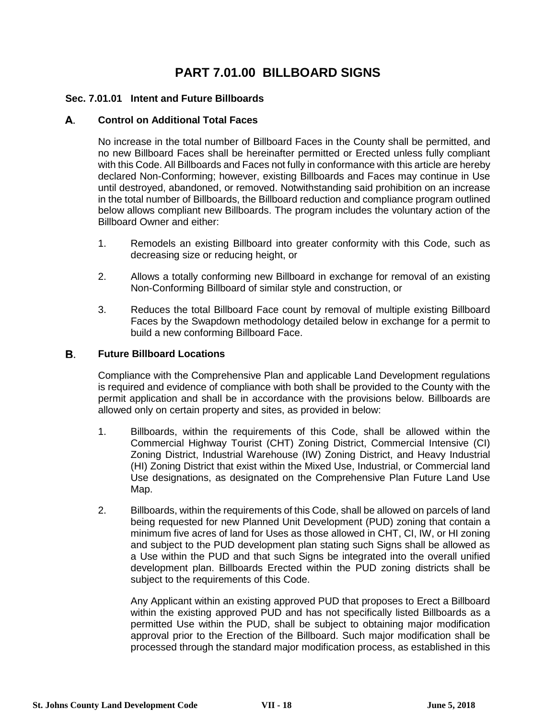# **PART 7.01.00 BILLBOARD SIGNS**

## **Sec. 7.01.01 Intent and Future Billboards**

#### А. **Control on Additional Total Faces**

No increase in the total number of Billboard Faces in the County shall be permitted, and no new Billboard Faces shall be hereinafter permitted or Erected unless fully compliant with this Code. All Billboards and Faces not fully in conformance with this article are hereby declared Non-Conforming; however, existing Billboards and Faces may continue in Use until destroyed, abandoned, or removed. Notwithstanding said prohibition on an increase in the total number of Billboards, the Billboard reduction and compliance program outlined below allows compliant new Billboards. The program includes the voluntary action of the Billboard Owner and either:

- 1. Remodels an existing Billboard into greater conformity with this Code, such as decreasing size or reducing height, or
- 2. Allows a totally conforming new Billboard in exchange for removal of an existing Non-Conforming Billboard of similar style and construction, or
- 3. Reduces the total Billboard Face count by removal of multiple existing Billboard Faces by the Swapdown methodology detailed below in exchange for a permit to build a new conforming Billboard Face.

#### В. **Future Billboard Locations**

Compliance with the Comprehensive Plan and applicable Land Development regulations is required and evidence of compliance with both shall be provided to the County with the permit application and shall be in accordance with the provisions below. Billboards are allowed only on certain property and sites, as provided in below:

- 1. Billboards, within the requirements of this Code, shall be allowed within the Commercial Highway Tourist (CHT) Zoning District, Commercial Intensive (CI) Zoning District, Industrial Warehouse (IW) Zoning District, and Heavy Industrial (HI) Zoning District that exist within the Mixed Use, Industrial, or Commercial land Use designations, as designated on the Comprehensive Plan Future Land Use Map.
- 2. Billboards, within the requirements of this Code, shall be allowed on parcels of land being requested for new Planned Unit Development (PUD) zoning that contain a minimum five acres of land for Uses as those allowed in CHT, CI, IW, or HI zoning and subject to the PUD development plan stating such Signs shall be allowed as a Use within the PUD and that such Signs be integrated into the overall unified development plan. Billboards Erected within the PUD zoning districts shall be subject to the requirements of this Code.

Any Applicant within an existing approved PUD that proposes to Erect a Billboard within the existing approved PUD and has not specifically listed Billboards as a permitted Use within the PUD, shall be subject to obtaining major modification approval prior to the Erection of the Billboard. Such major modification shall be processed through the standard major modification process, as established in this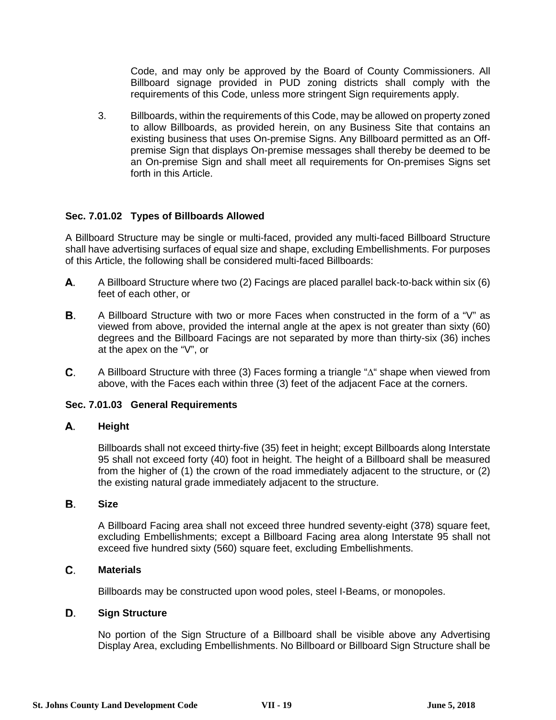Code, and may only be approved by the Board of County Commissioners. All Billboard signage provided in PUD zoning districts shall comply with the requirements of this Code, unless more stringent Sign requirements apply.

3. Billboards, within the requirements of this Code, may be allowed on property zoned to allow Billboards, as provided herein, on any Business Site that contains an existing business that uses On-premise Signs. Any Billboard permitted as an Offpremise Sign that displays On-premise messages shall thereby be deemed to be an On-premise Sign and shall meet all requirements for On-premises Signs set forth in this Article.

## **Sec. 7.01.02 Types of Billboards Allowed**

A Billboard Structure may be single or multi-faced, provided any multi-faced Billboard Structure shall have advertising surfaces of equal size and shape, excluding Embellishments. For purposes of this Article, the following shall be considered multi-faced Billboards:

- А. A Billboard Structure where two (2) Facings are placed parallel back-to-back within six (6) feet of each other, or
- **B.** A Billboard Structure with two or more Faces when constructed in the form of a "V" as viewed from above, provided the internal angle at the apex is not greater than sixty (60) degrees and the Billboard Facings are not separated by more than thirty-six (36) inches at the apex on the "V", or
- C. A Billboard Structure with three (3) Faces forming a triangle "∆" shape when viewed from above, with the Faces each within three (3) feet of the adjacent Face at the corners.

## **Sec. 7.01.03 General Requirements**

#### А. **Height**

Billboards shall not exceed thirty-five (35) feet in height; except Billboards along Interstate 95 shall not exceed forty (40) foot in height. The height of a Billboard shall be measured from the higher of (1) the crown of the road immediately adjacent to the structure, or (2) the existing natural grade immediately adjacent to the structure.

#### В. **Size**

A Billboard Facing area shall not exceed three hundred seventy-eight (378) square feet, excluding Embellishments; except a Billboard Facing area along Interstate 95 shall not exceed five hundred sixty (560) square feet, excluding Embellishments.

### C. **Materials**

Billboards may be constructed upon wood poles, steel I-Beams, or monopoles.

### D. **Sign Structure**

No portion of the Sign Structure of a Billboard shall be visible above any Advertising Display Area, excluding Embellishments. No Billboard or Billboard Sign Structure shall be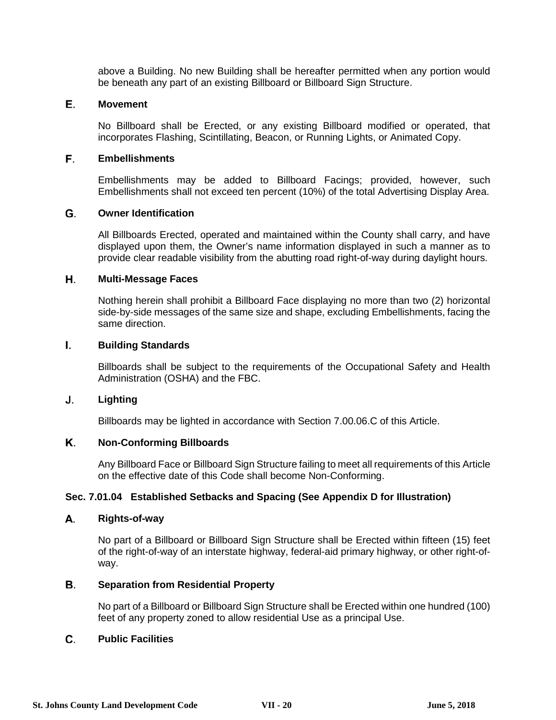above a Building. No new Building shall be hereafter permitted when any portion would be beneath any part of an existing Billboard or Billboard Sign Structure.

### Е. **Movement**

No Billboard shall be Erected, or any existing Billboard modified or operated, that incorporates Flashing, Scintillating, Beacon, or Running Lights, or Animated Copy.

### F. **Embellishments**

Embellishments may be added to Billboard Facings; provided, however, such Embellishments shall not exceed ten percent (10%) of the total Advertising Display Area.

### G. **Owner Identification**

All Billboards Erected, operated and maintained within the County shall carry, and have displayed upon them, the Owner's name information displayed in such a manner as to provide clear readable visibility from the abutting road right-of-way during daylight hours.

#### Н. **Multi-Message Faces**

Nothing herein shall prohibit a Billboard Face displaying no more than two (2) horizontal side-by-side messages of the same size and shape, excluding Embellishments, facing the same direction.

#### L. **Building Standards**

Billboards shall be subject to the requirements of the Occupational Safety and Health Administration (OSHA) and the FBC.

#### J. **Lighting**

Billboards may be lighted in accordance with Section 7.00.06.C of this Article.

### Κ. **Non-Conforming Billboards**

Any Billboard Face or Billboard Sign Structure failing to meet all requirements of this Article on the effective date of this Code shall become Non-Conforming.

## **Sec. 7.01.04 Established Setbacks and Spacing (See Appendix D for Illustration)**

#### А. **Rights-of-way**

No part of a Billboard or Billboard Sign Structure shall be Erected within fifteen (15) feet of the right-of-way of an interstate highway, federal-aid primary highway, or other right-ofway.

### **B. Separation from Residential Property**

No part of a Billboard or Billboard Sign Structure shall be Erected within one hundred (100) feet of any property zoned to allow residential Use as a principal Use.

### C. **Public Facilities**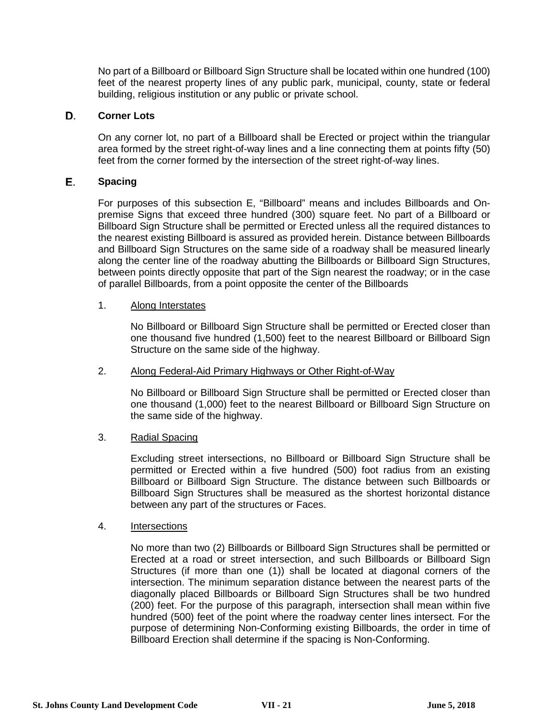No part of a Billboard or Billboard Sign Structure shall be located within one hundred (100) feet of the nearest property lines of any public park, municipal, county, state or federal building, religious institution or any public or private school.

#### D. **Corner Lots**

On any corner lot, no part of a Billboard shall be Erected or project within the triangular area formed by the street right-of-way lines and a line connecting them at points fifty (50) feet from the corner formed by the intersection of the street right-of-way lines.

### Е. **Spacing**

For purposes of this subsection E, "Billboard" means and includes Billboards and Onpremise Signs that exceed three hundred (300) square feet. No part of a Billboard or Billboard Sign Structure shall be permitted or Erected unless all the required distances to the nearest existing Billboard is assured as provided herein. Distance between Billboards and Billboard Sign Structures on the same side of a roadway shall be measured linearly along the center line of the roadway abutting the Billboards or Billboard Sign Structures, between points directly opposite that part of the Sign nearest the roadway; or in the case of parallel Billboards, from a point opposite the center of the Billboards

### 1. Along Interstates

No Billboard or Billboard Sign Structure shall be permitted or Erected closer than one thousand five hundred (1,500) feet to the nearest Billboard or Billboard Sign Structure on the same side of the highway.

### 2. Along Federal-Aid Primary Highways or Other Right-of-Way

No Billboard or Billboard Sign Structure shall be permitted or Erected closer than one thousand (1,000) feet to the nearest Billboard or Billboard Sign Structure on the same side of the highway.

## 3. Radial Spacing

Excluding street intersections, no Billboard or Billboard Sign Structure shall be permitted or Erected within a five hundred (500) foot radius from an existing Billboard or Billboard Sign Structure. The distance between such Billboards or Billboard Sign Structures shall be measured as the shortest horizontal distance between any part of the structures or Faces.

### 4. Intersections

No more than two (2) Billboards or Billboard Sign Structures shall be permitted or Erected at a road or street intersection, and such Billboards or Billboard Sign Structures (if more than one (1)) shall be located at diagonal corners of the intersection. The minimum separation distance between the nearest parts of the diagonally placed Billboards or Billboard Sign Structures shall be two hundred (200) feet. For the purpose of this paragraph, intersection shall mean within five hundred (500) feet of the point where the roadway center lines intersect. For the purpose of determining Non-Conforming existing Billboards, the order in time of Billboard Erection shall determine if the spacing is Non-Conforming.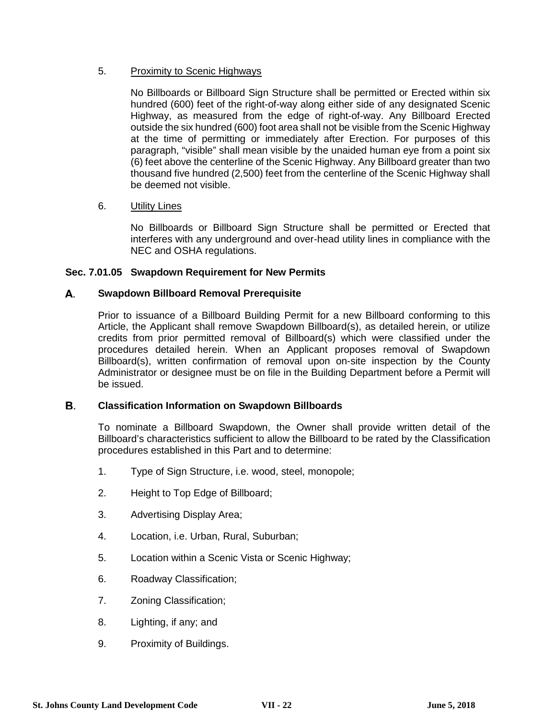## 5. Proximity to Scenic Highways

No Billboards or Billboard Sign Structure shall be permitted or Erected within six hundred (600) feet of the right-of-way along either side of any designated Scenic Highway, as measured from the edge of right-of-way. Any Billboard Erected outside the six hundred (600) foot area shall not be visible from the Scenic Highway at the time of permitting or immediately after Erection. For purposes of this paragraph, "visible" shall mean visible by the unaided human eye from a point six (6) feet above the centerline of the Scenic Highway. Any Billboard greater than two thousand five hundred (2,500) feet from the centerline of the Scenic Highway shall be deemed not visible.

### 6. Utility Lines

No Billboards or Billboard Sign Structure shall be permitted or Erected that interferes with any underground and over-head utility lines in compliance with the NEC and OSHA regulations.

### **Sec. 7.01.05 Swapdown Requirement for New Permits**

### А. **Swapdown Billboard Removal Prerequisite**

Prior to issuance of a Billboard Building Permit for a new Billboard conforming to this Article, the Applicant shall remove Swapdown Billboard(s), as detailed herein, or utilize credits from prior permitted removal of Billboard(s) which were classified under the procedures detailed herein. When an Applicant proposes removal of Swapdown Billboard(s), written confirmation of removal upon on-site inspection by the County Administrator or designee must be on file in the Building Department before a Permit will be issued.

#### **Classification Information on Swapdown Billboards** В.

To nominate a Billboard Swapdown, the Owner shall provide written detail of the Billboard's characteristics sufficient to allow the Billboard to be rated by the Classification procedures established in this Part and to determine:

- 1. Type of Sign Structure, i.e. wood, steel, monopole;
- 2. Height to Top Edge of Billboard;
- 3. Advertising Display Area;
- 4. Location, i.e. Urban, Rural, Suburban;
- 5. Location within a Scenic Vista or Scenic Highway;
- 6. Roadway Classification;
- 7. Zoning Classification;
- 8. Lighting, if any; and
- 9. Proximity of Buildings.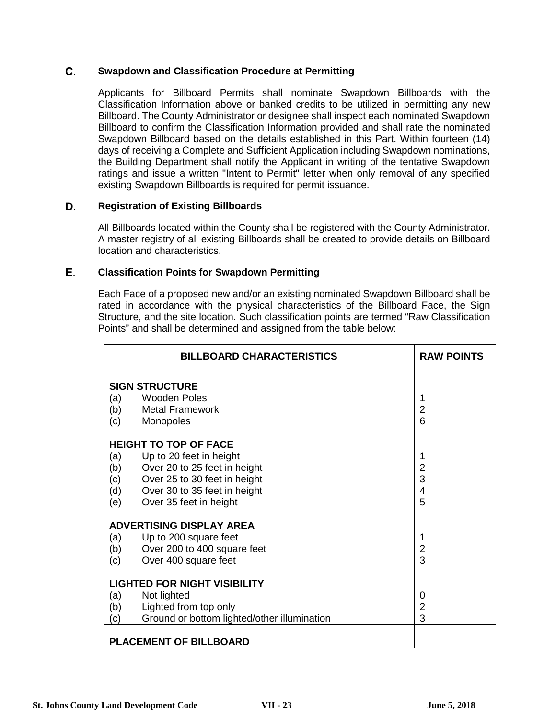### C. **Swapdown and Classification Procedure at Permitting**

Applicants for Billboard Permits shall nominate Swapdown Billboards with the Classification Information above or banked credits to be utilized in permitting any new Billboard. The County Administrator or designee shall inspect each nominated Swapdown Billboard to confirm the Classification Information provided and shall rate the nominated Swapdown Billboard based on the details established in this Part. Within fourteen (14) days of receiving a Complete and Sufficient Application including Swapdown nominations, the Building Department shall notify the Applicant in writing of the tentative Swapdown ratings and issue a written "Intent to Permit" letter when only removal of any specified existing Swapdown Billboards is required for permit issuance.

### D. **Registration of Existing Billboards**

All Billboards located within the County shall be registered with the County Administrator. A master registry of all existing Billboards shall be created to provide details on Billboard location and characteristics.

### Е. **Classification Points for Swapdown Permitting**

Each Face of a proposed new and/or an existing nominated Swapdown Billboard shall be rated in accordance with the physical characteristics of the Billboard Face, the Sign Structure, and the site location. Such classification points are termed "Raw Classification Points" and shall be determined and assigned from the table below:

|     | <b>BILLBOARD CHARACTERISTICS</b>            | <b>RAW POINTS</b> |
|-----|---------------------------------------------|-------------------|
|     | <b>SIGN STRUCTURE</b>                       |                   |
| (a) | <b>Wooden Poles</b>                         |                   |
| (b) | <b>Metal Framework</b>                      | $\overline{2}$    |
| (c) | Monopoles                                   | 6                 |
|     | <b>HEIGHT TO TOP OF FACE</b>                |                   |
| (a) | Up to 20 feet in height                     | 1                 |
| (b) | Over 20 to 25 feet in height                | $\overline{2}$    |
| (c) | Over 25 to 30 feet in height                | 3                 |
| (d) | Over 30 to 35 feet in height                | 4                 |
| (e) | Over 35 feet in height                      | 5                 |
|     | <b>ADVERTISING DISPLAY AREA</b>             |                   |
| (a) | Up to 200 square feet                       |                   |
| (b) | Over 200 to 400 square feet                 | $\overline{2}$    |
| (c) | Over 400 square feet                        | 3                 |
|     | <b>LIGHTED FOR NIGHT VISIBILITY</b>         |                   |
| (a) | Not lighted                                 | 0                 |
| (b) | Lighted from top only                       | 2                 |
| (c) | Ground or bottom lighted/other illumination | 3                 |
|     | <b>PLACEMENT OF BILLBOARD</b>               |                   |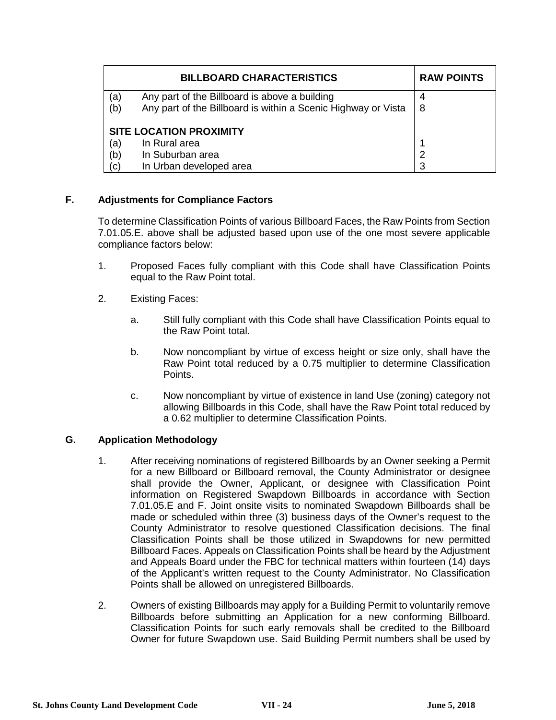|     | <b>RAW POINTS</b>                                             |   |
|-----|---------------------------------------------------------------|---|
| (a  | Any part of the Billboard is above a building                 |   |
| (b) | Any part of the Billboard is within a Scenic Highway or Vista | 8 |
|     | <b>SITE LOCATION PROXIMITY</b>                                |   |
| (a) | In Rural area                                                 |   |
| (b) | In Suburban area                                              |   |
| (C) | In Urban developed area                                       |   |

## **F. Adjustments for Compliance Factors**

To determine Classification Points of various Billboard Faces, the Raw Points from Section 7.01.05.E. above shall be adjusted based upon use of the one most severe applicable compliance factors below:

- 1. Proposed Faces fully compliant with this Code shall have Classification Points equal to the Raw Point total.
- 2. Existing Faces:
	- a. Still fully compliant with this Code shall have Classification Points equal to the Raw Point total.
	- b. Now noncompliant by virtue of excess height or size only, shall have the Raw Point total reduced by a 0.75 multiplier to determine Classification Points.
	- c. Now noncompliant by virtue of existence in land Use (zoning) category not allowing Billboards in this Code, shall have the Raw Point total reduced by a 0.62 multiplier to determine Classification Points.

### **G. Application Methodology**

- 1. After receiving nominations of registered Billboards by an Owner seeking a Permit for a new Billboard or Billboard removal, the County Administrator or designee shall provide the Owner, Applicant, or designee with Classification Point information on Registered Swapdown Billboards in accordance with Section 7.01.05.E and F. Joint onsite visits to nominated Swapdown Billboards shall be made or scheduled within three (3) business days of the Owner's request to the County Administrator to resolve questioned Classification decisions. The final Classification Points shall be those utilized in Swapdowns for new permitted Billboard Faces. Appeals on Classification Points shall be heard by the Adjustment and Appeals Board under the FBC for technical matters within fourteen (14) days of the Applicant's written request to the County Administrator. No Classification Points shall be allowed on unregistered Billboards.
- 2. Owners of existing Billboards may apply for a Building Permit to voluntarily remove Billboards before submitting an Application for a new conforming Billboard. Classification Points for such early removals shall be credited to the Billboard Owner for future Swapdown use. Said Building Permit numbers shall be used by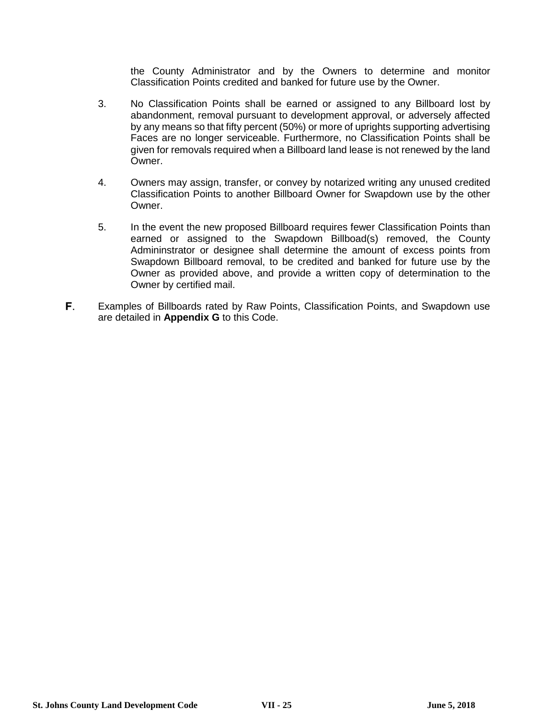the County Administrator and by the Owners to determine and monitor Classification Points credited and banked for future use by the Owner.

- 3. No Classification Points shall be earned or assigned to any Billboard lost by abandonment, removal pursuant to development approval, or adversely affected by any means so that fifty percent (50%) or more of uprights supporting advertising Faces are no longer serviceable. Furthermore, no Classification Points shall be given for removals required when a Billboard land lease is not renewed by the land Owner.
- 4. Owners may assign, transfer, or convey by notarized writing any unused credited Classification Points to another Billboard Owner for Swapdown use by the other Owner.
- 5. In the event the new proposed Billboard requires fewer Classification Points than earned or assigned to the Swapdown Billboad(s) removed, the County Admininstrator or designee shall determine the amount of excess points from Swapdown Billboard removal, to be credited and banked for future use by the Owner as provided above, and provide a written copy of determination to the Owner by certified mail.
- F. Examples of Billboards rated by Raw Points, Classification Points, and Swapdown use are detailed in **Appendix G** to this Code.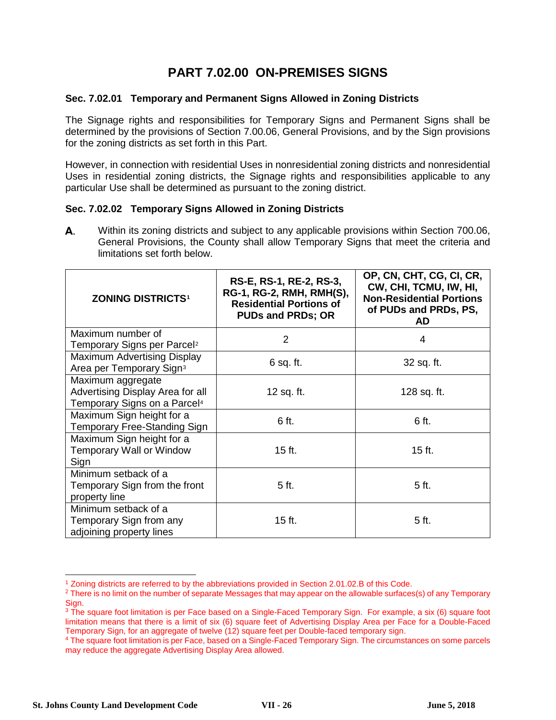# **PART 7.02.00 ON-PREMISES SIGNS**

### **Sec. 7.02.01 Temporary and Permanent Signs Allowed in Zoning Districts**

The Signage rights and responsibilities for Temporary Signs and Permanent Signs shall be determined by the provisions of Section 7.00.06, General Provisions, and by the Sign provisions for the zoning districts as set forth in this Part.

However, in connection with residential Uses in nonresidential zoning districts and nonresidential Uses in residential zoning districts, the Signage rights and responsibilities applicable to any particular Use shall be determined as pursuant to the zoning district.

### **Sec. 7.02.02 Temporary Signs Allowed in Zoning Districts**

А. Within its zoning districts and subject to any applicable provisions within Section 700.06, General Provisions, the County shall allow Temporary Signs that meet the criteria and limitations set forth below.

| <b>ZONING DISTRICTS1</b>                 | RS-E, RS-1, RE-2, RS-3,<br>RG-1, RG-2, RMH, RMH(S),<br><b>Residential Portions of</b><br><b>PUDs and PRDs; OR</b> | OP, CN, CHT, CG, CI, CR,<br>CW, CHI, TCMU, IW, HI,<br><b>Non-Residential Portions</b><br>of PUDs and PRDs, PS,<br><b>AD</b> |  |
|------------------------------------------|-------------------------------------------------------------------------------------------------------------------|-----------------------------------------------------------------------------------------------------------------------------|--|
| Maximum number of                        | $\overline{2}$                                                                                                    | 4                                                                                                                           |  |
| Temporary Signs per Parcel <sup>2</sup>  |                                                                                                                   |                                                                                                                             |  |
| <b>Maximum Advertising Display</b>       | $6$ sq. ft.                                                                                                       | 32 sq. ft.                                                                                                                  |  |
| Area per Temporary Sign <sup>3</sup>     |                                                                                                                   |                                                                                                                             |  |
| Maximum aggregate                        |                                                                                                                   |                                                                                                                             |  |
| Advertising Display Area for all         | 12 sq. ft.                                                                                                        | 128 sq. ft.                                                                                                                 |  |
| Temporary Signs on a Parcel <sup>4</sup> |                                                                                                                   |                                                                                                                             |  |
| Maximum Sign height for a                |                                                                                                                   |                                                                                                                             |  |
| Temporary Free-Standing Sign             | 6 ft.                                                                                                             | 6 ft.                                                                                                                       |  |
| Maximum Sign height for a                |                                                                                                                   |                                                                                                                             |  |
| <b>Temporary Wall or Window</b>          | $15$ ft.                                                                                                          | $15$ ft.                                                                                                                    |  |
| Sign                                     |                                                                                                                   |                                                                                                                             |  |
| Minimum setback of a                     |                                                                                                                   |                                                                                                                             |  |
| Temporary Sign from the front            | 5 ft.                                                                                                             | 5 ft.                                                                                                                       |  |
| property line                            |                                                                                                                   |                                                                                                                             |  |
| Minimum setback of a                     |                                                                                                                   |                                                                                                                             |  |
| Temporary Sign from any                  | 15 ft.                                                                                                            | 5 ft.                                                                                                                       |  |
| adjoining property lines                 |                                                                                                                   |                                                                                                                             |  |

 <sup>1</sup> Zoning districts are referred to by the abbreviations provided in Section 2.01.02.B of this Code.

<span id="page-25-1"></span><span id="page-25-0"></span><sup>&</sup>lt;sup>2</sup> There is no limit on the number of separate Messages that may appear on the allowable surfaces(s) of any Temporary Sign.

<span id="page-25-2"></span><sup>&</sup>lt;sup>3</sup> The square foot limitation is per Face based on a Single-Faced Temporary Sign. For example, a six (6) square foot limitation means that there is a limit of six (6) square feet of Advertising Display Area per Face for a Double-Faced Temporary Sign, for an aggregate of twelve (12) square feet per Double-faced temporary sign.

<span id="page-25-3"></span><sup>4</sup> The square foot limitation is per Face, based on a Single-Faced Temporary Sign. The circumstances on some parcels may reduce the aggregate Advertising Display Area allowed.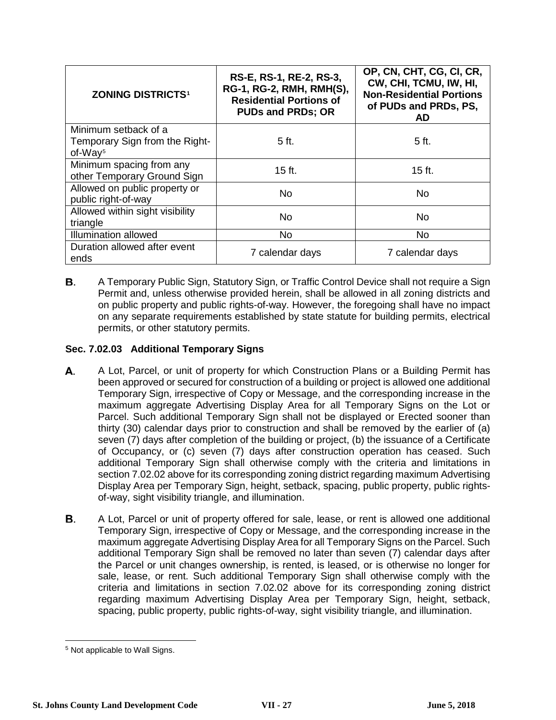| <b>ZONING DISTRICTS1</b>             | RS-E, RS-1, RE-2, RS-3,<br>RG-1, RG-2, RMH, RMH(S),<br><b>Residential Portions of</b><br><b>PUDs and PRDs; OR</b> | OP, CN, CHT, CG, CI, CR,<br>CW, CHI, TCMU, IW, HI,<br><b>Non-Residential Portions</b><br>of PUDs and PRDs, PS,<br>AD |
|--------------------------------------|-------------------------------------------------------------------------------------------------------------------|----------------------------------------------------------------------------------------------------------------------|
| Minimum setback of a                 |                                                                                                                   |                                                                                                                      |
| Temporary Sign from the Right-       | 5 ft.                                                                                                             | 5 <sub>ft</sub>                                                                                                      |
| of-Way <sup>5</sup>                  |                                                                                                                   |                                                                                                                      |
| Minimum spacing from any             | $15$ ft.                                                                                                          | 15 ft.                                                                                                               |
| other Temporary Ground Sign          |                                                                                                                   |                                                                                                                      |
| Allowed on public property or        | <b>No</b>                                                                                                         | No.                                                                                                                  |
| public right-of-way                  |                                                                                                                   |                                                                                                                      |
| Allowed within sight visibility      | <b>No</b>                                                                                                         | <b>No</b>                                                                                                            |
| triangle                             |                                                                                                                   |                                                                                                                      |
| <b>Illumination allowed</b>          | <b>No</b>                                                                                                         | <b>No</b>                                                                                                            |
| Duration allowed after event<br>ends | 7 calendar days                                                                                                   | 7 calendar days                                                                                                      |

В. A Temporary Public Sign, Statutory Sign, or Traffic Control Device shall not require a Sign Permit and, unless otherwise provided herein, shall be allowed in all zoning districts and on public property and public rights-of-way. However, the foregoing shall have no impact on any separate requirements established by state statute for building permits, electrical permits, or other statutory permits.

# **Sec. 7.02.03 Additional Temporary Signs**

- А. A Lot, Parcel, or unit of property for which Construction Plans or a Building Permit has been approved or secured for construction of a building or project is allowed one additional Temporary Sign, irrespective of Copy or Message, and the corresponding increase in the maximum aggregate Advertising Display Area for all Temporary Signs on the Lot or Parcel. Such additional Temporary Sign shall not be displayed or Erected sooner than thirty (30) calendar days prior to construction and shall be removed by the earlier of (a) seven (7) days after completion of the building or project, (b) the issuance of a Certificate of Occupancy, or (c) seven (7) days after construction operation has ceased. Such additional Temporary Sign shall otherwise comply with the criteria and limitations in section 7.02.02 above for its corresponding zoning district regarding maximum Advertising Display Area per Temporary Sign, height, setback, spacing, public property, public rightsof-way, sight visibility triangle, and illumination.
- В. A Lot, Parcel or unit of property offered for sale, lease, or rent is allowed one additional Temporary Sign, irrespective of Copy or Message, and the corresponding increase in the maximum aggregate Advertising Display Area for all Temporary Signs on the Parcel. Such additional Temporary Sign shall be removed no later than seven (7) calendar days after the Parcel or unit changes ownership, is rented, is leased, or is otherwise no longer for sale, lease, or rent. Such additional Temporary Sign shall otherwise comply with the criteria and limitations in section 7.02.02 above for its corresponding zoning district regarding maximum Advertising Display Area per Temporary Sign, height, setback, spacing, public property, public rights-of-way, sight visibility triangle, and illumination.

<span id="page-26-0"></span> <sup>5</sup> Not applicable to Wall Signs.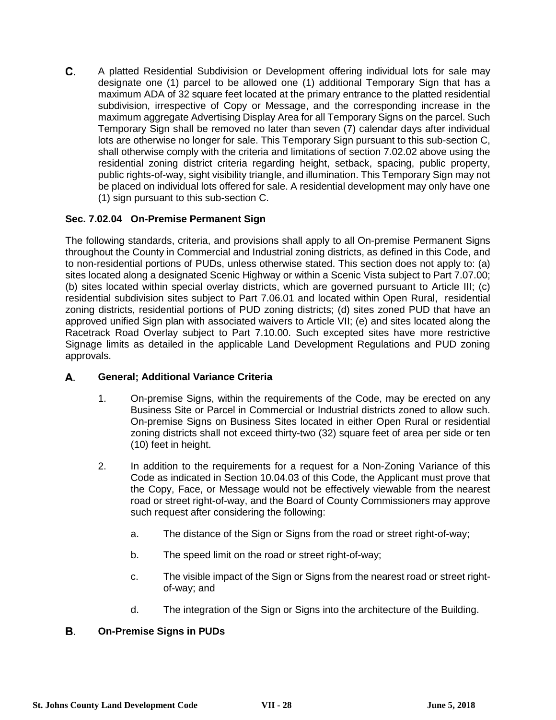C. A platted Residential Subdivision or Development offering individual lots for sale may designate one (1) parcel to be allowed one (1) additional Temporary Sign that has a maximum ADA of 32 square feet located at the primary entrance to the platted residential subdivision, irrespective of Copy or Message, and the corresponding increase in the maximum aggregate Advertising Display Area for all Temporary Signs on the parcel. Such Temporary Sign shall be removed no later than seven (7) calendar days after individual lots are otherwise no longer for sale. This Temporary Sign pursuant to this sub-section C, shall otherwise comply with the criteria and limitations of section 7.02.02 above using the residential zoning district criteria regarding height, setback, spacing, public property, public rights-of-way, sight visibility triangle, and illumination. This Temporary Sign may not be placed on individual lots offered for sale. A residential development may only have one (1) sign pursuant to this sub-section C.

# **Sec. 7.02.04 On-Premise Permanent Sign**

The following standards, criteria, and provisions shall apply to all On-premise Permanent Signs throughout the County in Commercial and Industrial zoning districts, as defined in this Code, and to non-residential portions of PUDs, unless otherwise stated. This section does not apply to: (a) sites located along a designated Scenic Highway or within a Scenic Vista subject to Part 7.07.00; (b) sites located within special overlay districts, which are governed pursuant to Article III; (c) residential subdivision sites subject to Part 7.06.01 and located within Open Rural, residential zoning districts, residential portions of PUD zoning districts; (d) sites zoned PUD that have an approved unified Sign plan with associated waivers to Article VII; (e) and sites located along the Racetrack Road Overlay subject to Part 7.10.00. Such excepted sites have more restrictive Signage limits as detailed in the applicable Land Development Regulations and PUD zoning approvals.

### А. **General; Additional Variance Criteria**

- 1. On-premise Signs, within the requirements of the Code, may be erected on any Business Site or Parcel in Commercial or Industrial districts zoned to allow such. On-premise Signs on Business Sites located in either Open Rural or residential zoning districts shall not exceed thirty-two (32) square feet of area per side or ten (10) feet in height.
- 2. In addition to the requirements for a request for a Non-Zoning Variance of this Code as indicated in Section 10.04.03 of this Code, the Applicant must prove that the Copy, Face, or Message would not be effectively viewable from the nearest road or street right-of-way, and the Board of County Commissioners may approve such request after considering the following:
	- a. The distance of the Sign or Signs from the road or street right-of-way;
	- b. The speed limit on the road or street right-of-way;
	- c. The visible impact of the Sign or Signs from the nearest road or street rightof-way; and
	- d. The integration of the Sign or Signs into the architecture of the Building.

### В. **On-Premise Signs in PUDs**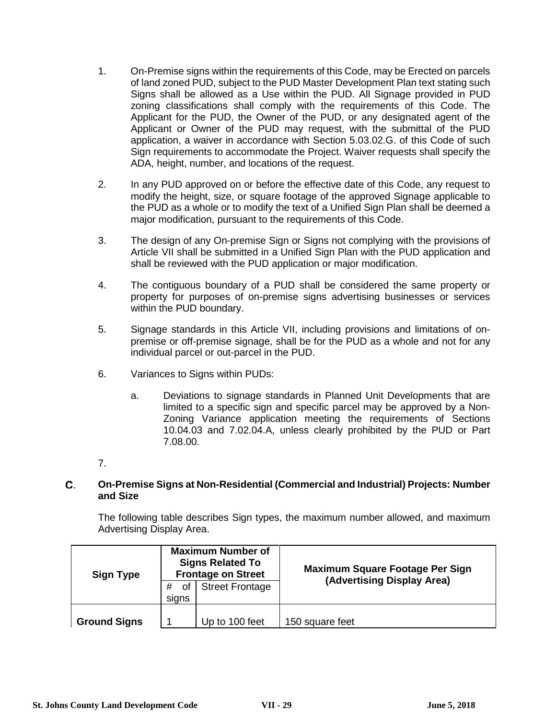- 1. On-Premise signs within the requirements of this Code, may be Erected on parcels of land zoned PUD, subject to the PUD Master Development Plan text stating such Signs shall be allowed as a Use within the PUD. All Signage provided in PUD zoning classifications shall comply with the requirements of this Code. The Applicant for the PUD, the Owner of the PUD, or any designated agent of the Applicant or Owner of the PUD may request, with the submittal of the PUD application, a waiver in accordance with Section 5.03.02.G. of this Code of such Sign requirements to accommodate the Project. Waiver requests shall specify the ADA, height, number, and locations of the request.
- 2. In any PUD approved on or before the effective date of this Code, any request to modify the height, size, or square footage of the approved Signage applicable to the PUD as a whole or to modify the text of a Unified Sign Plan shall be deemed a major modification, pursuant to the requirements of this Code.
- 3. The design of any On-premise Sign or Signs not complying with the provisions of Article VII shall be submitted in a Unified Sign Plan with the PUD application and shall be reviewed with the PUD application or major modification.
- 4. The contiguous boundary of a PUD shall be considered the same property or property for purposes of on-premise signs advertising businesses or services within the PUD boundary.
- 5. Signage standards in this Article VII, including provisions and limitations of onpremise or off-premise signage, shall be for the PUD as a whole and not for any individual parcel or out-parcel in the PUD.
- 6. Variances to Signs within PUDs:
	- a. Deviations to signage standards in Planned Unit Developments that are limited to a specific sign and specific parcel may be approved by a Non-Zoning Variance application meeting the requirements of Sections 10.04.03 and 7.02.04.A, unless clearly prohibited by the PUD or Part 7.08.00.
- 7.

### C. **On-Premise Signs at Non-Residential (Commercial and Industrial) Projects: Number and Size**

The following table describes Sign types, the maximum number allowed, and maximum Advertising Display Area.

| <b>Sign Type</b>    | <b>Maximum Number of</b><br><b>Signs Related To</b><br><b>Frontage on Street</b> |                        | Maximum Square Footage Per Sign<br>(Advertising Display Area) |
|---------------------|----------------------------------------------------------------------------------|------------------------|---------------------------------------------------------------|
|                     | 0f<br>signs                                                                      | <b>Street Frontage</b> |                                                               |
| <b>Ground Signs</b> |                                                                                  | Up to 100 feet         | 150 square feet                                               |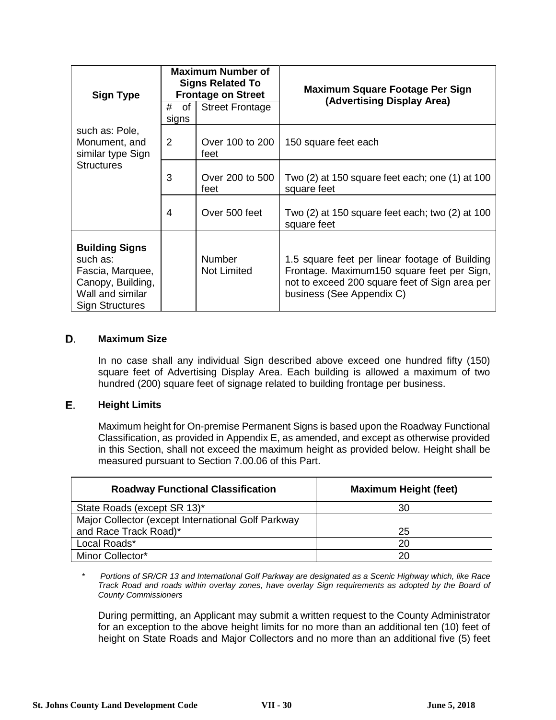| <b>Sign Type</b>                                                                                                         | <b>Maximum Number of</b><br><b>Signs Related To</b><br><b>Frontage on Street</b> |                                     | Maximum Square Footage Per Sign<br>(Advertising Display Area)                                                                                                               |  |
|--------------------------------------------------------------------------------------------------------------------------|----------------------------------------------------------------------------------|-------------------------------------|-----------------------------------------------------------------------------------------------------------------------------------------------------------------------------|--|
|                                                                                                                          | #<br>of<br>signs                                                                 | <b>Street Frontage</b>              |                                                                                                                                                                             |  |
| such as: Pole,<br>Monument, and<br>similar type Sign                                                                     | 2                                                                                | Over 100 to 200<br>feet             | 150 square feet each                                                                                                                                                        |  |
| <b>Structures</b>                                                                                                        | 3                                                                                | Over 200 to 500<br>feet             | Two (2) at 150 square feet each; one (1) at 100<br>square feet                                                                                                              |  |
|                                                                                                                          | 4                                                                                | Over 500 feet                       | Two (2) at 150 square feet each; two (2) at 100<br>square feet                                                                                                              |  |
| <b>Building Signs</b><br>such as:<br>Fascia, Marquee,<br>Canopy, Building,<br>Wall and similar<br><b>Sign Structures</b> |                                                                                  | <b>Number</b><br><b>Not Limited</b> | 1.5 square feet per linear footage of Building<br>Frontage. Maximum150 square feet per Sign,<br>not to exceed 200 square feet of Sign area per<br>business (See Appendix C) |  |

### D. **Maximum Size**

In no case shall any individual Sign described above exceed one hundred fifty (150) square feet of Advertising Display Area. Each building is allowed a maximum of two hundred (200) square feet of signage related to building frontage per business.

### Е. **Height Limits**

Maximum height for On-premise Permanent Signs is based upon the Roadway Functional Classification, as provided in Appendix E, as amended, and except as otherwise provided in this Section, shall not exceed the maximum height as provided below. Height shall be measured pursuant to Section 7.00.06 of this Part.

| <b>Roadway Functional Classification</b>           | <b>Maximum Height (feet)</b> |  |
|----------------------------------------------------|------------------------------|--|
| State Roads (except SR 13)*                        | 30                           |  |
| Major Collector (except International Golf Parkway |                              |  |
| and Race Track Road)*                              | 25                           |  |
| Local Roads*                                       | 20                           |  |
| Minor Collector*                                   | 20                           |  |

*\* Portions of SR/CR 13 and International Golf Parkway are designated as a Scenic Highway which, like Race Track Road and roads within overlay zones, have overlay Sign requirements as adopted by the Board of County Commissioners*

During permitting, an Applicant may submit a written request to the County Administrator for an exception to the above height limits for no more than an additional ten (10) feet of height on State Roads and Major Collectors and no more than an additional five (5) feet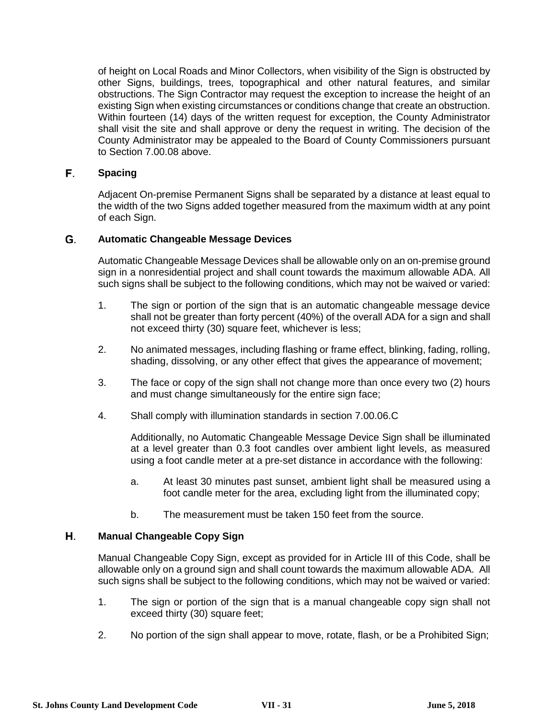of height on Local Roads and Minor Collectors, when visibility of the Sign is obstructed by other Signs, buildings, trees, topographical and other natural features, and similar obstructions. The Sign Contractor may request the exception to increase the height of an existing Sign when existing circumstances or conditions change that create an obstruction. Within fourteen (14) days of the written request for exception, the County Administrator shall visit the site and shall approve or deny the request in writing. The decision of the County Administrator may be appealed to the Board of County Commissioners pursuant to Section 7.00.08 above.

### F. **Spacing**

Adjacent On-premise Permanent Signs shall be separated by a distance at least equal to the width of the two Signs added together measured from the maximum width at any point of each Sign.

### G. **Automatic Changeable Message Devices**

Automatic Changeable Message Devices shall be allowable only on an on-premise ground sign in a nonresidential project and shall count towards the maximum allowable ADA. All such signs shall be subject to the following conditions, which may not be waived or varied:

- 1. The sign or portion of the sign that is an automatic changeable message device shall not be greater than forty percent (40%) of the overall ADA for a sign and shall not exceed thirty (30) square feet, whichever is less;
- 2. No animated messages, including flashing or frame effect, blinking, fading, rolling, shading, dissolving, or any other effect that gives the appearance of movement;
- 3. The face or copy of the sign shall not change more than once every two (2) hours and must change simultaneously for the entire sign face;
- 4. Shall comply with illumination standards in section 7.00.06.C

Additionally, no Automatic Changeable Message Device Sign shall be illuminated at a level greater than 0.3 foot candles over ambient light levels, as measured using a foot candle meter at a pre-set distance in accordance with the following:

- a. At least 30 minutes past sunset, ambient light shall be measured using a foot candle meter for the area, excluding light from the illuminated copy;
- b. The measurement must be taken 150 feet from the source.

#### Η. **Manual Changeable Copy Sign**

Manual Changeable Copy Sign, except as provided for in Article III of this Code, shall be allowable only on a ground sign and shall count towards the maximum allowable ADA. All such signs shall be subject to the following conditions, which may not be waived or varied:

- 1. The sign or portion of the sign that is a manual changeable copy sign shall not exceed thirty (30) square feet;
- 2. No portion of the sign shall appear to move, rotate, flash, or be a Prohibited Sign;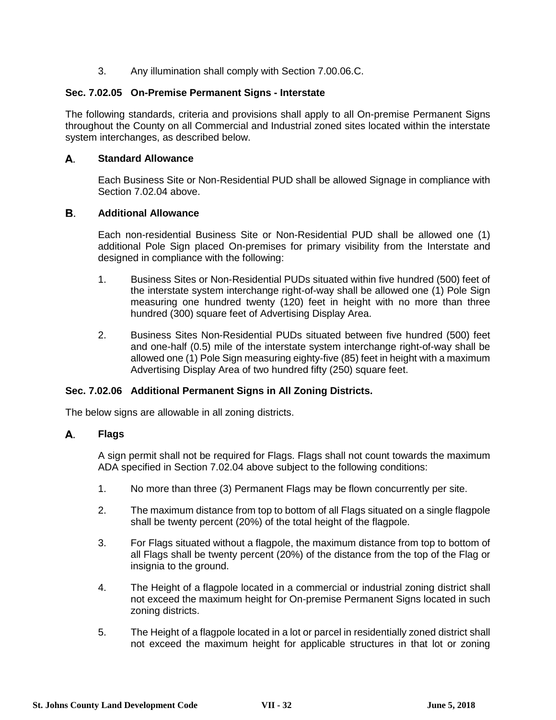3. Any illumination shall comply with Section 7.00.06.C.

## **Sec. 7.02.05 On-Premise Permanent Signs - Interstate**

The following standards, criteria and provisions shall apply to all On-premise Permanent Signs throughout the County on all Commercial and Industrial zoned sites located within the interstate system interchanges, as described below.

#### А. **Standard Allowance**

Each Business Site or Non-Residential PUD shall be allowed Signage in compliance with Section 7.02.04 above.

### В. **Additional Allowance**

Each non-residential Business Site or Non-Residential PUD shall be allowed one (1) additional Pole Sign placed On-premises for primary visibility from the Interstate and designed in compliance with the following:

- 1. Business Sites or Non-Residential PUDs situated within five hundred (500) feet of the interstate system interchange right-of-way shall be allowed one (1) Pole Sign measuring one hundred twenty (120) feet in height with no more than three hundred (300) square feet of Advertising Display Area.
- 2. Business Sites Non-Residential PUDs situated between five hundred (500) feet and one-half (0.5) mile of the interstate system interchange right-of-way shall be allowed one (1) Pole Sign measuring eighty-five (85) feet in height with a maximum Advertising Display Area of two hundred fifty (250) square feet.

### **Sec. 7.02.06 Additional Permanent Signs in All Zoning Districts.**

The below signs are allowable in all zoning districts.

#### А. **Flags**

A sign permit shall not be required for Flags. Flags shall not count towards the maximum ADA specified in Section 7.02.04 above subject to the following conditions:

- 1. No more than three (3) Permanent Flags may be flown concurrently per site.
- 2. The maximum distance from top to bottom of all Flags situated on a single flagpole shall be twenty percent (20%) of the total height of the flagpole.
- 3. For Flags situated without a flagpole, the maximum distance from top to bottom of all Flags shall be twenty percent (20%) of the distance from the top of the Flag or insignia to the ground.
- 4. The Height of a flagpole located in a commercial or industrial zoning district shall not exceed the maximum height for On-premise Permanent Signs located in such zoning districts.
- 5. The Height of a flagpole located in a lot or parcel in residentially zoned district shall not exceed the maximum height for applicable structures in that lot or zoning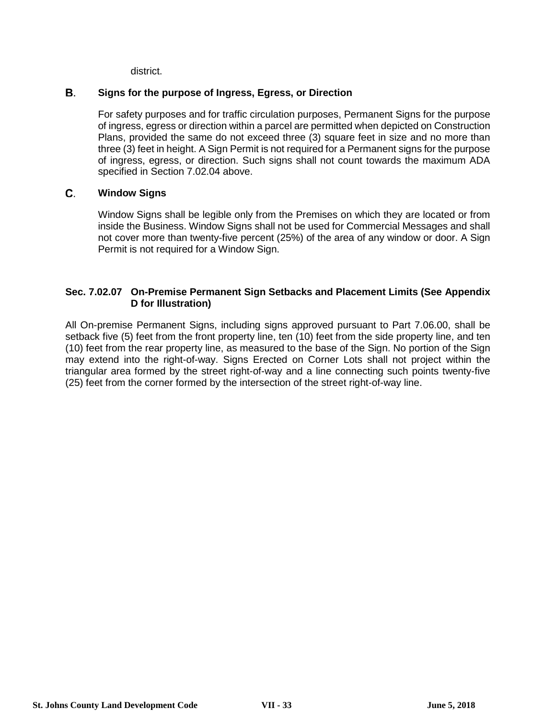district.

### В. **Signs for the purpose of Ingress, Egress, or Direction**

For safety purposes and for traffic circulation purposes, Permanent Signs for the purpose of ingress, egress or direction within a parcel are permitted when depicted on Construction Plans, provided the same do not exceed three (3) square feet in size and no more than three (3) feet in height. A Sign Permit is not required for a Permanent signs for the purpose of ingress, egress, or direction. Such signs shall not count towards the maximum ADA specified in Section 7.02.04 above.

### C. **Window Signs**

Window Signs shall be legible only from the Premises on which they are located or from inside the Business. Window Signs shall not be used for Commercial Messages and shall not cover more than twenty-five percent (25%) of the area of any window or door. A Sign Permit is not required for a Window Sign.

## **Sec. 7.02.07 On-Premise Permanent Sign Setbacks and Placement Limits (See Appendix D for Illustration)**

All On-premise Permanent Signs, including signs approved pursuant to Part 7.06.00, shall be setback five (5) feet from the front property line, ten (10) feet from the side property line, and ten (10) feet from the rear property line, as measured to the base of the Sign. No portion of the Sign may extend into the right-of-way. Signs Erected on Corner Lots shall not project within the triangular area formed by the street right-of-way and a line connecting such points twenty-five (25) feet from the corner formed by the intersection of the street right-of-way line.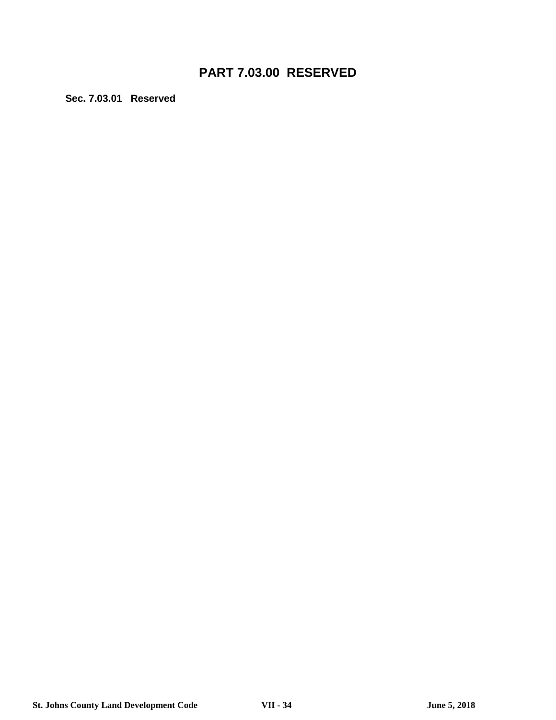# **PART 7.03.00 RESERVED**

**Sec. 7.03.01 Reserved**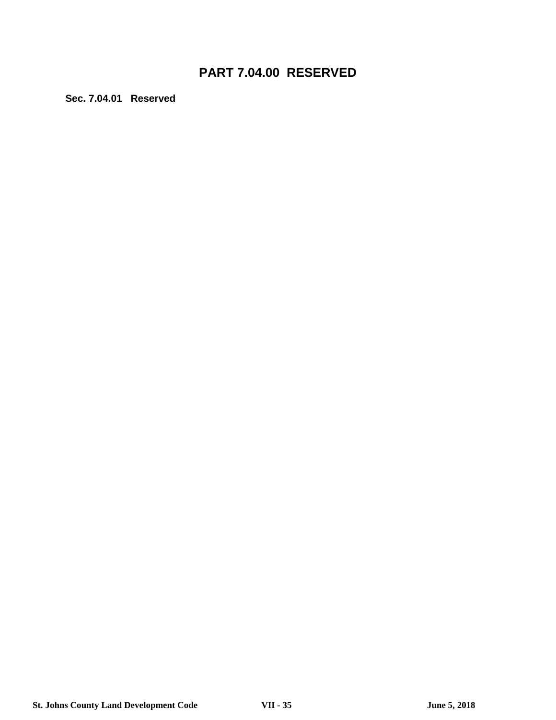# **PART 7.04.00 RESERVED**

**Sec. 7.04.01 Reserved**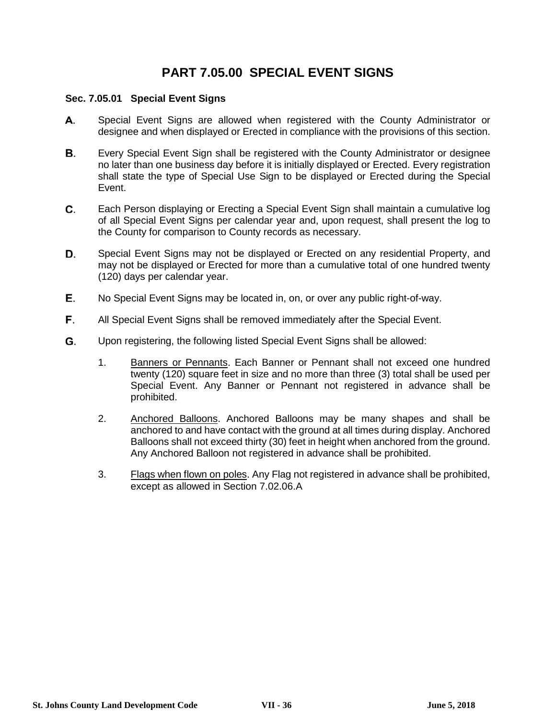# **PART 7.05.00 SPECIAL EVENT SIGNS**

### **Sec. 7.05.01 Special Event Signs**

- А. Special Event Signs are allowed when registered with the County Administrator or designee and when displayed or Erected in compliance with the provisions of this section.
- **B.** Every Special Event Sign shall be registered with the County Administrator or designee no later than one business day before it is initially displayed or Erected. Every registration shall state the type of Special Use Sign to be displayed or Erected during the Special Event.
- C. Each Person displaying or Erecting a Special Event Sign shall maintain a cumulative log of all Special Event Signs per calendar year and, upon request, shall present the log to the County for comparison to County records as necessary.
- D. Special Event Signs may not be displayed or Erected on any residential Property, and may not be displayed or Erected for more than a cumulative total of one hundred twenty (120) days per calendar year.
- Е. No Special Event Signs may be located in, on, or over any public right-of-way.
- F. All Special Event Signs shall be removed immediately after the Special Event.
- G. Upon registering, the following listed Special Event Signs shall be allowed:
	- 1. Banners or Pennants. Each Banner or Pennant shall not exceed one hundred twenty (120) square feet in size and no more than three (3) total shall be used per Special Event. Any Banner or Pennant not registered in advance shall be prohibited.
	- 2. Anchored Balloons. Anchored Balloons may be many shapes and shall be anchored to and have contact with the ground at all times during display. Anchored Balloons shall not exceed thirty (30) feet in height when anchored from the ground. Any Anchored Balloon not registered in advance shall be prohibited.
	- 3. Flags when flown on poles. Any Flag not registered in advance shall be prohibited, except as allowed in Section 7.02.06.A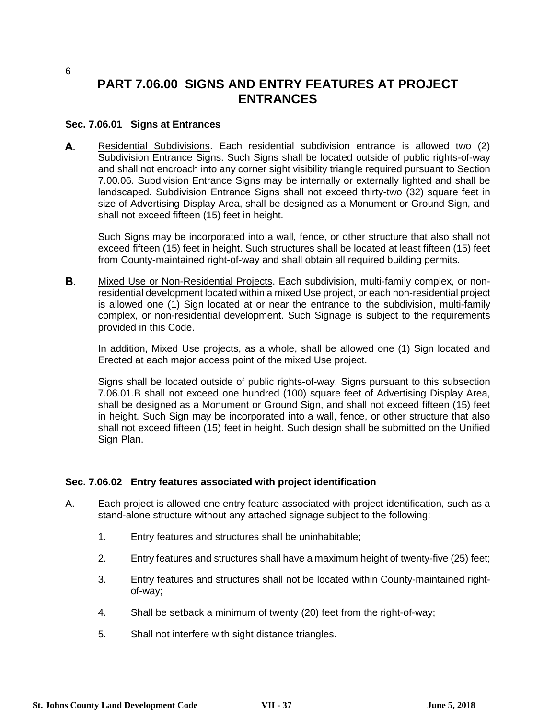# **PART 7.06.00 SIGNS AND ENTRY FEATURES AT PROJECT ENTRANCES**

### **Sec. 7.06.01 Signs at Entrances**

А. Residential Subdivisions. Each residential subdivision entrance is allowed two (2) Subdivision Entrance Signs. Such Signs shall be located outside of public rights-of-way and shall not encroach into any corner sight visibility triangle required pursuant to Section 7.00.06. Subdivision Entrance Signs may be internally or externally lighted and shall be landscaped. Subdivision Entrance Signs shall not exceed thirty-two (32) square feet in size of Advertising Display Area, shall be designed as a Monument or Ground Sign, and shall not exceed fifteen (15) feet in height.

Such Signs may be incorporated into a wall, fence, or other structure that also shall not exceed fifteen (15) feet in height. Such structures shall be located at least fifteen (15) feet from County-maintained right-of-way and shall obtain all required building permits.

В. Mixed Use or Non-Residential Projects. Each subdivision, multi-family complex, or nonresidential development located within a mixed Use project, or each non-residential project is allowed one (1) Sign located at or near the entrance to the subdivision, multi-family complex, or non-residential development. Such Signage is subject to the requirements provided in this Code.

In addition, Mixed Use projects, as a whole, shall be allowed one (1) Sign located and Erected at each major access point of the mixed Use project.

Signs shall be located outside of public rights-of-way. Signs pursuant to this subsection 7.06.01.B shall not exceed one hundred (100) square feet of Advertising Display Area, shall be designed as a Monument or Ground Sign, and shall not exceed fifteen (15) feet in height. Such Sign may be incorporated into a wall, fence, or other structure that also shall not exceed fifteen (15) feet in height. Such design shall be submitted on the Unified Sign Plan.

### **Sec. 7.06.02 Entry features associated with project identification**

- A. Each project is allowed one entry feature associated with project identification, such as a stand-alone structure without any attached signage subject to the following:
	- 1. Entry features and structures shall be uninhabitable;
	- 2. Entry features and structures shall have a maximum height of twenty-five (25) feet;
	- 3. Entry features and structures shall not be located within County-maintained rightof-way;
	- 4. Shall be setback a minimum of twenty (20) feet from the right-of-way;
	- 5. Shall not interfere with sight distance triangles.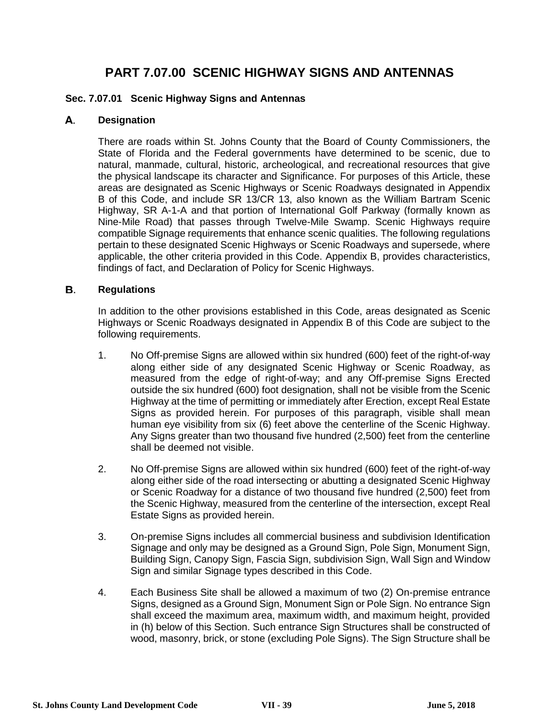# **PART 7.07.00 SCENIC HIGHWAY SIGNS AND ANTENNAS**

## **Sec. 7.07.01 Scenic Highway Signs and Antennas**

#### А. **Designation**

There are roads within St. Johns County that the Board of County Commissioners, the State of Florida and the Federal governments have determined to be scenic, due to natural, manmade, cultural, historic, archeological, and recreational resources that give the physical landscape its character and Significance. For purposes of this Article, these areas are designated as Scenic Highways or Scenic Roadways designated in Appendix B of this Code, and include SR 13/CR 13, also known as the William Bartram Scenic Highway, SR A-1-A and that portion of International Golf Parkway (formally known as Nine-Mile Road) that passes through Twelve-Mile Swamp. Scenic Highways require compatible Signage requirements that enhance scenic qualities. The following regulations pertain to these designated Scenic Highways or Scenic Roadways and supersede, where applicable, the other criteria provided in this Code. Appendix B, provides characteristics, findings of fact, and Declaration of Policy for Scenic Highways.

### В. **Regulations**

In addition to the other provisions established in this Code, areas designated as Scenic Highways or Scenic Roadways designated in Appendix B of this Code are subject to the following requirements.

- 1. No Off-premise Signs are allowed within six hundred (600) feet of the right-of-way along either side of any designated Scenic Highway or Scenic Roadway, as measured from the edge of right-of-way; and any Off-premise Signs Erected outside the six hundred (600) foot designation, shall not be visible from the Scenic Highway at the time of permitting or immediately after Erection, except Real Estate Signs as provided herein. For purposes of this paragraph, visible shall mean human eye visibility from six (6) feet above the centerline of the Scenic Highway. Any Signs greater than two thousand five hundred (2,500) feet from the centerline shall be deemed not visible.
- 2. No Off-premise Signs are allowed within six hundred (600) feet of the right-of-way along either side of the road intersecting or abutting a designated Scenic Highway or Scenic Roadway for a distance of two thousand five hundred (2,500) feet from the Scenic Highway, measured from the centerline of the intersection, except Real Estate Signs as provided herein.
- 3. On-premise Signs includes all commercial business and subdivision Identification Signage and only may be designed as a Ground Sign, Pole Sign, Monument Sign, Building Sign, Canopy Sign, Fascia Sign, subdivision Sign, Wall Sign and Window Sign and similar Signage types described in this Code.
- 4. Each Business Site shall be allowed a maximum of two (2) On-premise entrance Signs, designed as a Ground Sign, Monument Sign or Pole Sign. No entrance Sign shall exceed the maximum area, maximum width, and maximum height, provided in (h) below of this Section. Such entrance Sign Structures shall be constructed of wood, masonry, brick, or stone (excluding Pole Signs). The Sign Structure shall be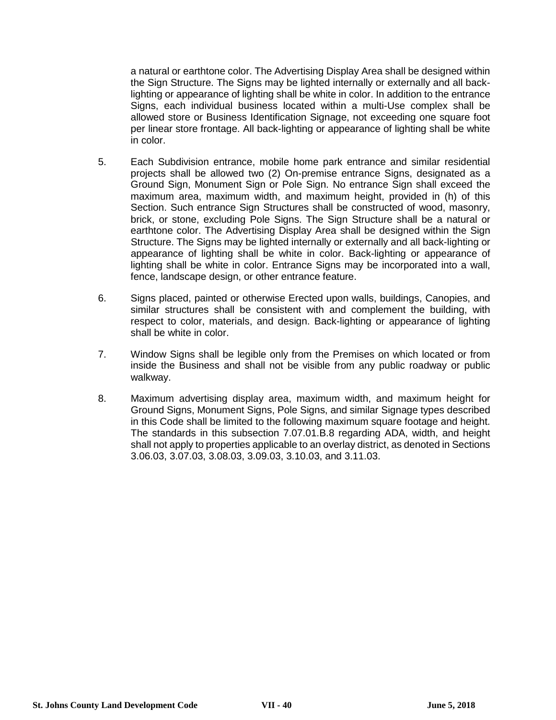a natural or earthtone color. The Advertising Display Area shall be designed within the Sign Structure. The Signs may be lighted internally or externally and all backlighting or appearance of lighting shall be white in color. In addition to the entrance Signs, each individual business located within a multi-Use complex shall be allowed store or Business Identification Signage, not exceeding one square foot per linear store frontage. All back-lighting or appearance of lighting shall be white in color.

- 5. Each Subdivision entrance, mobile home park entrance and similar residential projects shall be allowed two (2) On-premise entrance Signs, designated as a Ground Sign, Monument Sign or Pole Sign. No entrance Sign shall exceed the maximum area, maximum width, and maximum height, provided in (h) of this Section. Such entrance Sign Structures shall be constructed of wood, masonry, brick, or stone, excluding Pole Signs. The Sign Structure shall be a natural or earthtone color. The Advertising Display Area shall be designed within the Sign Structure. The Signs may be lighted internally or externally and all back-lighting or appearance of lighting shall be white in color. Back-lighting or appearance of lighting shall be white in color. Entrance Signs may be incorporated into a wall, fence, landscape design, or other entrance feature.
- 6. Signs placed, painted or otherwise Erected upon walls, buildings, Canopies, and similar structures shall be consistent with and complement the building, with respect to color, materials, and design. Back-lighting or appearance of lighting shall be white in color.
- 7. Window Signs shall be legible only from the Premises on which located or from inside the Business and shall not be visible from any public roadway or public walkway.
- 8. Maximum advertising display area, maximum width, and maximum height for Ground Signs, Monument Signs, Pole Signs, and similar Signage types described in this Code shall be limited to the following maximum square footage and height. The standards in this subsection 7.07.01.B.8 regarding ADA, width, and height shall not apply to properties applicable to an overlay district, as denoted in Sections 3.06.03, 3.07.03, 3.08.03, 3.09.03, 3.10.03, and 3.11.03.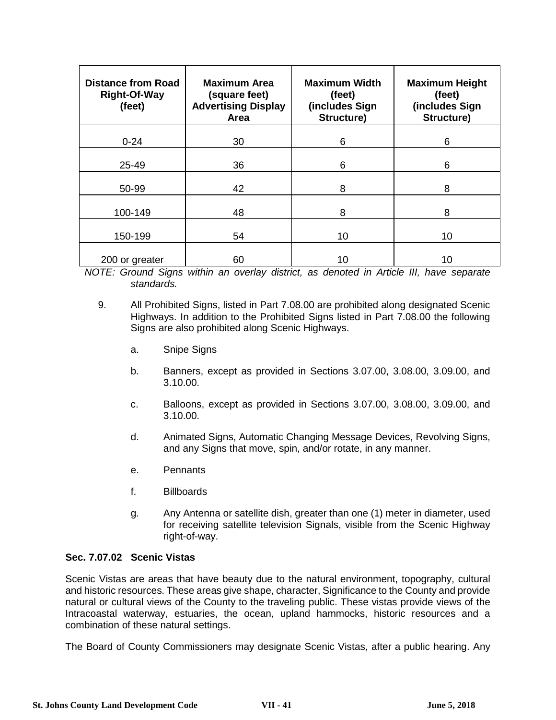| <b>Distance from Road</b><br><b>Right-Of-Way</b><br>(feet) | <b>Maximum Area</b><br>(square feet)<br><b>Advertising Display</b><br>Area | <b>Maximum Width</b><br>(feet)<br>(includes Sign<br>Structure) | <b>Maximum Height</b><br>(feet)<br>(includes Sign<br>Structure) |
|------------------------------------------------------------|----------------------------------------------------------------------------|----------------------------------------------------------------|-----------------------------------------------------------------|
| $0 - 24$                                                   | 30                                                                         | 6                                                              | 6                                                               |
|                                                            |                                                                            |                                                                |                                                                 |
| 25-49                                                      | 36                                                                         | 6                                                              | 6                                                               |
| 50-99                                                      | 42                                                                         | 8                                                              | 8                                                               |
| 100-149                                                    | 48                                                                         | 8                                                              | 8                                                               |
| 150-199                                                    | 54                                                                         | 10                                                             | 10                                                              |
| 200 or greater                                             | 60                                                                         | 10                                                             | 10                                                              |

*NOTE: Ground Signs within an overlay district, as denoted in Article III, have separate standards.*

- 9. All Prohibited Signs, listed in Part 7.08.00 are prohibited along designated Scenic Highways. In addition to the Prohibited Signs listed in Part 7.08.00 the following Signs are also prohibited along Scenic Highways.
	- a. Snipe Signs
	- b. Banners, except as provided in Sections 3.07.00, 3.08.00, 3.09.00, and 3.10.00.
	- c. Balloons, except as provided in Sections 3.07.00, 3.08.00, 3.09.00, and 3.10.00.
	- d. Animated Signs, Automatic Changing Message Devices, Revolving Signs, and any Signs that move, spin, and/or rotate, in any manner.
	- e. Pennants
	- f. Billboards
	- g. Any Antenna or satellite dish, greater than one (1) meter in diameter, used for receiving satellite television Signals, visible from the Scenic Highway right-of-way.

### **Sec. 7.07.02 Scenic Vistas**

Scenic Vistas are areas that have beauty due to the natural environment, topography, cultural and historic resources. These areas give shape, character, Significance to the County and provide natural or cultural views of the County to the traveling public. These vistas provide views of the Intracoastal waterway, estuaries, the ocean, upland hammocks, historic resources and a combination of these natural settings.

The Board of County Commissioners may designate Scenic Vistas, after a public hearing. Any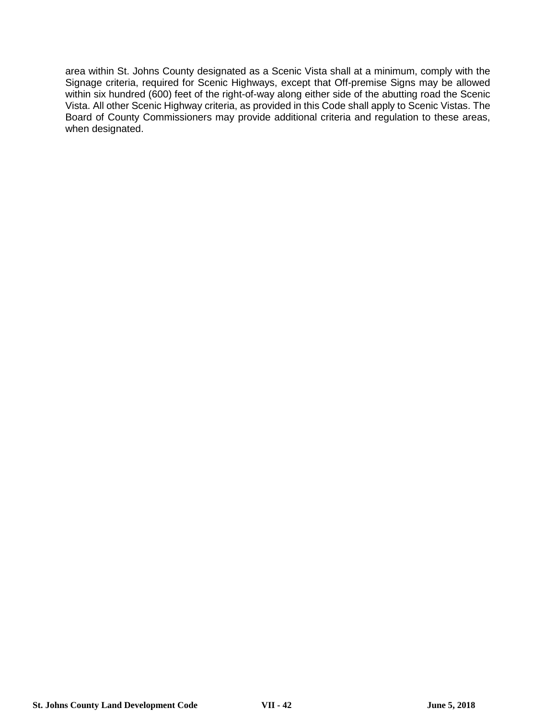area within St. Johns County designated as a Scenic Vista shall at a minimum, comply with the Signage criteria, required for Scenic Highways, except that Off-premise Signs may be allowed within six hundred (600) feet of the right-of-way along either side of the abutting road the Scenic Vista. All other Scenic Highway criteria, as provided in this Code shall apply to Scenic Vistas. The Board of County Commissioners may provide additional criteria and regulation to these areas, when designated.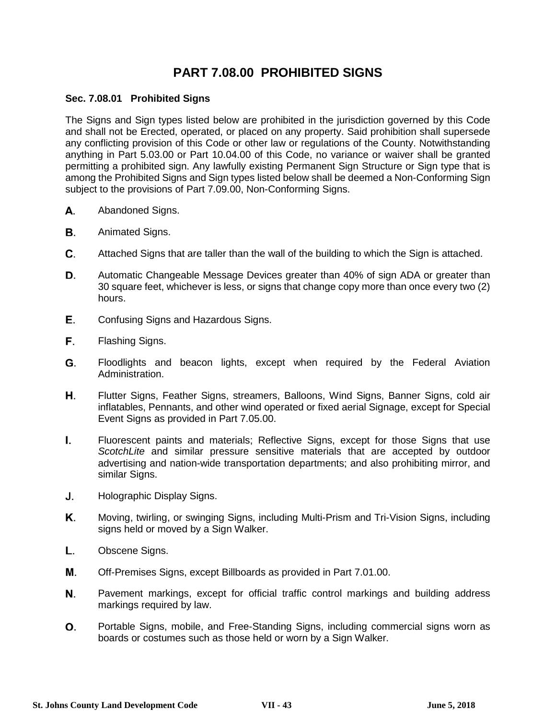# **PART 7.08.00 PROHIBITED SIGNS**

## **Sec. 7.08.01 Prohibited Signs**

The Signs and Sign types listed below are prohibited in the jurisdiction governed by this Code and shall not be Erected, operated, or placed on any property. Said prohibition shall supersede any conflicting provision of this Code or other law or regulations of the County. Notwithstanding anything in Part 5.03.00 or Part 10.04.00 of this Code, no variance or waiver shall be granted permitting a prohibited sign. Any lawfully existing Permanent Sign Structure or Sign type that is among the Prohibited Signs and Sign types listed below shall be deemed a Non-Conforming Sign subject to the provisions of Part 7.09.00, Non-Conforming Signs.

- А. Abandoned Signs.
- **B.** Animated Signs.
- C. Attached Signs that are taller than the wall of the building to which the Sign is attached.
- D. Automatic Changeable Message Devices greater than 40% of sign ADA or greater than 30 square feet, whichever is less, or signs that change copy more than once every two (2) hours.
- Е. Confusing Signs and Hazardous Signs.
- F. Flashing Signs.
- G. Floodlights and beacon lights, except when required by the Federal Aviation Administration.
- Η. Flutter Signs, Feather Signs, streamers, Balloons, Wind Signs, Banner Signs, cold air inflatables, Pennants, and other wind operated or fixed aerial Signage, except for Special Event Signs as provided in Part 7.05.00.
- L. Fluorescent paints and materials; Reflective Signs, except for those Signs that use *ScotchLite* and similar pressure sensitive materials that are accepted by outdoor advertising and nation-wide transportation departments; and also prohibiting mirror, and similar Signs.
- J. Holographic Display Signs.
- Κ. Moving, twirling, or swinging Signs, including Multi-Prism and Tri-Vision Signs, including signs held or moved by a Sign Walker.
- L. Obscene Signs.
- М. Off-Premises Signs, except Billboards as provided in Part 7.01.00.
- Ν. Pavement markings, except for official traffic control markings and building address markings required by law.
- Ο. Portable Signs, mobile, and Free-Standing Signs, including commercial signs worn as boards or costumes such as those held or worn by a Sign Walker.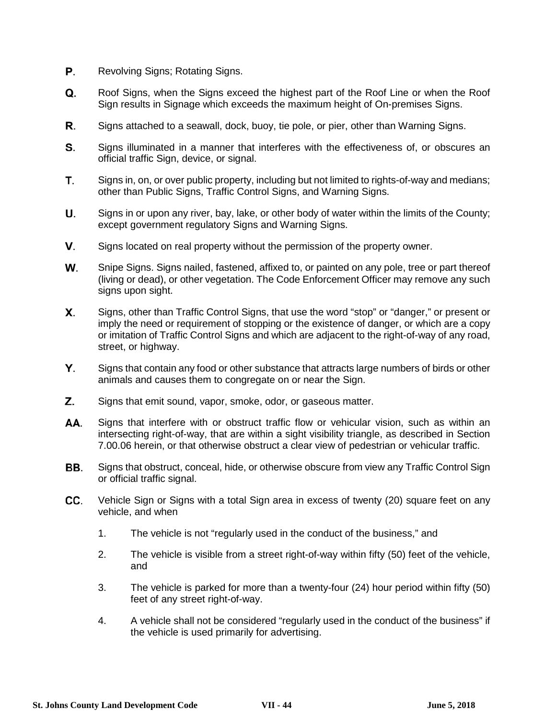- Р. Revolving Signs; Rotating Signs.
- Q. Roof Signs, when the Signs exceed the highest part of the Roof Line or when the Roof Sign results in Signage which exceeds the maximum height of On-premises Signs.
- R. Signs attached to a seawall, dock, buoy, tie pole, or pier, other than Warning Signs.
- S. Signs illuminated in a manner that interferes with the effectiveness of, or obscures an official traffic Sign, device, or signal.
- T. Signs in, on, or over public property, including but not limited to rights-of-way and medians; other than Public Signs, Traffic Control Signs, and Warning Signs.
- Signs in or upon any river, bay, lake, or other body of water within the limits of the County; U. except government regulatory Signs and Warning Signs.
- V. Signs located on real property without the permission of the property owner.
- W. Snipe Signs. Signs nailed, fastened, affixed to, or painted on any pole, tree or part thereof (living or dead), or other vegetation. The Code Enforcement Officer may remove any such signs upon sight.
- Х. Signs, other than Traffic Control Signs, that use the word "stop" or "danger," or present or imply the need or requirement of stopping or the existence of danger, or which are a copy or imitation of Traffic Control Signs and which are adjacent to the right-of-way of any road, street, or highway.
- Υ. Signs that contain any food or other substance that attracts large numbers of birds or other animals and causes them to congregate on or near the Sign.
- Z. Signs that emit sound, vapor, smoke, odor, or gaseous matter.
- Signs that interfere with or obstruct traffic flow or vehicular vision, such as within an AA. intersecting right-of-way, that are within a sight visibility triangle, as described in Section 7.00.06 herein, or that otherwise obstruct a clear view of pedestrian or vehicular traffic.
- BB. Signs that obstruct, conceal, hide, or otherwise obscure from view any Traffic Control Sign or official traffic signal.
- CC. Vehicle Sign or Signs with a total Sign area in excess of twenty (20) square feet on any vehicle, and when
	- 1. The vehicle is not "regularly used in the conduct of the business," and
	- 2. The vehicle is visible from a street right-of-way within fifty (50) feet of the vehicle, and
	- 3. The vehicle is parked for more than a twenty-four (24) hour period within fifty (50) feet of any street right-of-way.
	- 4. A vehicle shall not be considered "regularly used in the conduct of the business" if the vehicle is used primarily for advertising.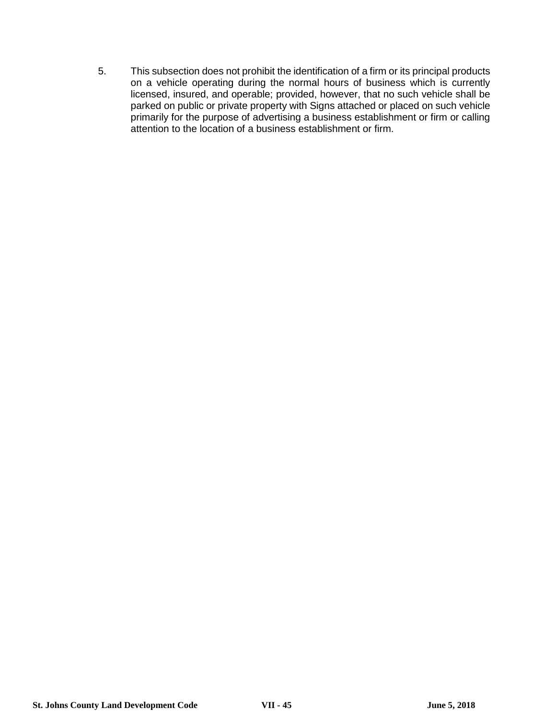5. This subsection does not prohibit the identification of a firm or its principal products on a vehicle operating during the normal hours of business which is currently licensed, insured, and operable; provided, however, that no such vehicle shall be parked on public or private property with Signs attached or placed on such vehicle primarily for the purpose of advertising a business establishment or firm or calling attention to the location of a business establishment or firm.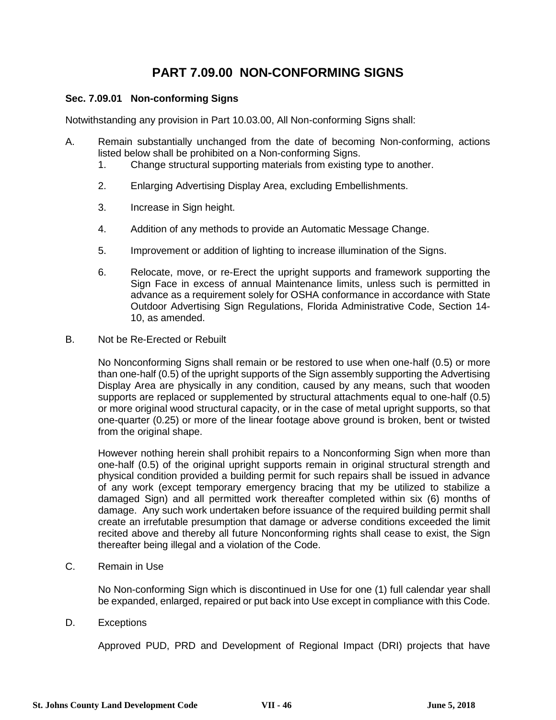# **PART 7.09.00 NON-CONFORMING SIGNS**

## **Sec. 7.09.01 Non-conforming Signs**

Notwithstanding any provision in Part 10.03.00, All Non-conforming Signs shall:

- A. Remain substantially unchanged from the date of becoming Non-conforming, actions listed below shall be prohibited on a Non-conforming Signs.
	- 1. Change structural supporting materials from existing type to another.
	- 2. Enlarging Advertising Display Area, excluding Embellishments.
	- 3. Increase in Sign height.
	- 4. Addition of any methods to provide an Automatic Message Change.
	- 5. Improvement or addition of lighting to increase illumination of the Signs.
	- 6. Relocate, move, or re-Erect the upright supports and framework supporting the Sign Face in excess of annual Maintenance limits, unless such is permitted in advance as a requirement solely for OSHA conformance in accordance with State Outdoor Advertising Sign Regulations, Florida Administrative Code, Section 14- 10, as amended.
- B. Not be Re-Erected or Rebuilt

No Nonconforming Signs shall remain or be restored to use when one-half (0.5) or more than one-half (0.5) of the upright supports of the Sign assembly supporting the Advertising Display Area are physically in any condition, caused by any means, such that wooden supports are replaced or supplemented by structural attachments equal to one-half (0.5) or more original wood structural capacity, or in the case of metal upright supports, so that one-quarter (0.25) or more of the linear footage above ground is broken, bent or twisted from the original shape.

However nothing herein shall prohibit repairs to a Nonconforming Sign when more than one-half (0.5) of the original upright supports remain in original structural strength and physical condition provided a building permit for such repairs shall be issued in advance of any work (except temporary emergency bracing that my be utilized to stabilize a damaged Sign) and all permitted work thereafter completed within six (6) months of damage. Any such work undertaken before issuance of the required building permit shall create an irrefutable presumption that damage or adverse conditions exceeded the limit recited above and thereby all future Nonconforming rights shall cease to exist, the Sign thereafter being illegal and a violation of the Code.

C. Remain in Use

No Non-conforming Sign which is discontinued in Use for one (1) full calendar year shall be expanded, enlarged, repaired or put back into Use except in compliance with this Code.

D. Exceptions

Approved PUD, PRD and Development of Regional Impact (DRI) projects that have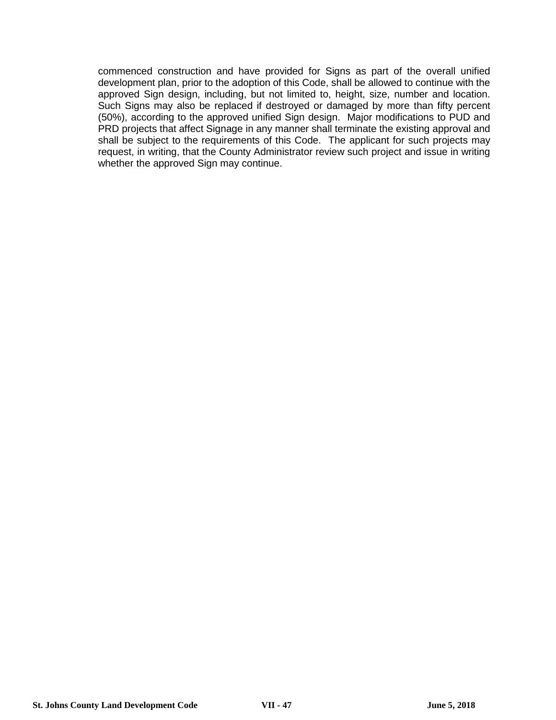commenced construction and have provided for Signs as part of the overall unified development plan, prior to the adoption of this Code, shall be allowed to continue with the approved Sign design, including, but not limited to, height, size, number and location. Such Signs may also be replaced if destroyed or damaged by more than fifty percent (50%), according to the approved unified Sign design. Major modifications to PUD and PRD projects that affect Signage in any manner shall terminate the existing approval and shall be subject to the requirements of this Code. The applicant for such projects may request, in writing, that the County Administrator review such project and issue in writing whether the approved Sign may continue.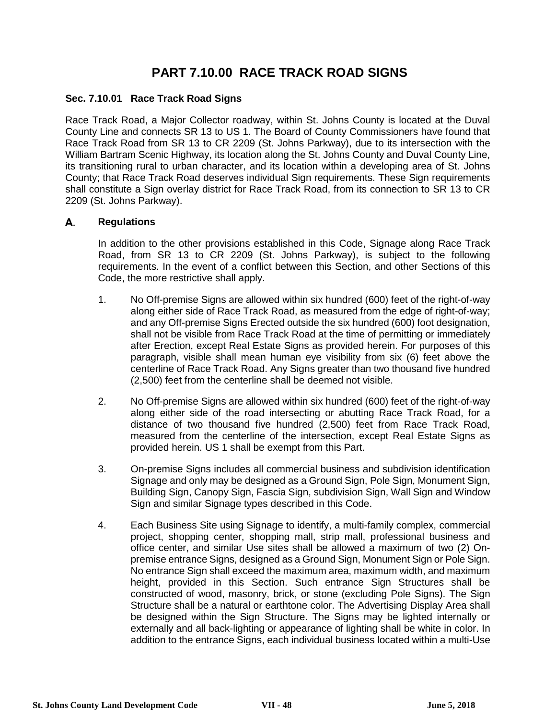# **PART 7.10.00 RACE TRACK ROAD SIGNS**

### **Sec. 7.10.01 Race Track Road Signs**

Race Track Road, a Major Collector roadway, within St. Johns County is located at the Duval County Line and connects SR 13 to US 1. The Board of County Commissioners have found that Race Track Road from SR 13 to CR 2209 (St. Johns Parkway), due to its intersection with the William Bartram Scenic Highway, its location along the St. Johns County and Duval County Line, its transitioning rural to urban character, and its location within a developing area of St. Johns County; that Race Track Road deserves individual Sign requirements. These Sign requirements shall constitute a Sign overlay district for Race Track Road, from its connection to SR 13 to CR 2209 (St. Johns Parkway).

### А. **Regulations**

In addition to the other provisions established in this Code, Signage along Race Track Road, from SR 13 to CR 2209 (St. Johns Parkway), is subject to the following requirements. In the event of a conflict between this Section, and other Sections of this Code, the more restrictive shall apply.

- 1. No Off-premise Signs are allowed within six hundred (600) feet of the right-of-way along either side of Race Track Road, as measured from the edge of right-of-way; and any Off-premise Signs Erected outside the six hundred (600) foot designation, shall not be visible from Race Track Road at the time of permitting or immediately after Erection, except Real Estate Signs as provided herein. For purposes of this paragraph, visible shall mean human eye visibility from six (6) feet above the centerline of Race Track Road. Any Signs greater than two thousand five hundred (2,500) feet from the centerline shall be deemed not visible.
- 2. No Off-premise Signs are allowed within six hundred (600) feet of the right-of-way along either side of the road intersecting or abutting Race Track Road, for a distance of two thousand five hundred (2,500) feet from Race Track Road, measured from the centerline of the intersection, except Real Estate Signs as provided herein. US 1 shall be exempt from this Part.
- 3. On-premise Signs includes all commercial business and subdivision identification Signage and only may be designed as a Ground Sign, Pole Sign, Monument Sign, Building Sign, Canopy Sign, Fascia Sign, subdivision Sign, Wall Sign and Window Sign and similar Signage types described in this Code.
- 4. Each Business Site using Signage to identify, a multi-family complex, commercial project, shopping center, shopping mall, strip mall, professional business and office center, and similar Use sites shall be allowed a maximum of two (2) Onpremise entrance Signs, designed as a Ground Sign, Monument Sign or Pole Sign. No entrance Sign shall exceed the maximum area, maximum width, and maximum height, provided in this Section. Such entrance Sign Structures shall be constructed of wood, masonry, brick, or stone (excluding Pole Signs). The Sign Structure shall be a natural or earthtone color. The Advertising Display Area shall be designed within the Sign Structure. The Signs may be lighted internally or externally and all back-lighting or appearance of lighting shall be white in color. In addition to the entrance Signs, each individual business located within a multi-Use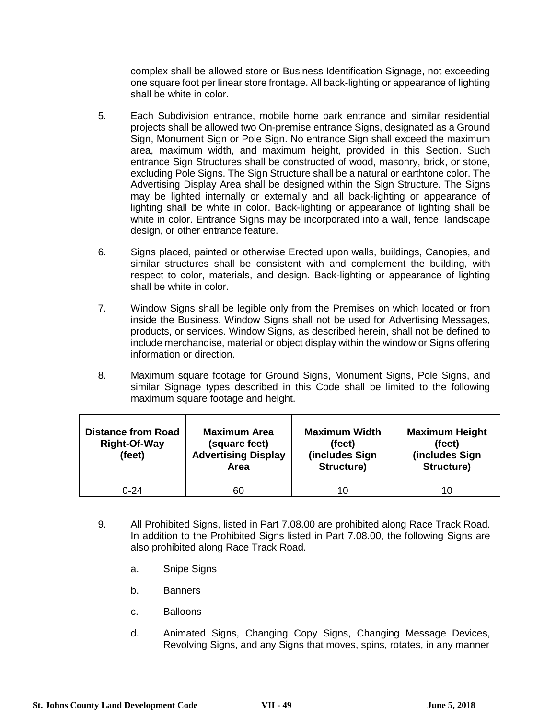complex shall be allowed store or Business Identification Signage, not exceeding one square foot per linear store frontage. All back-lighting or appearance of lighting shall be white in color.

- 5. Each Subdivision entrance, mobile home park entrance and similar residential projects shall be allowed two On-premise entrance Signs, designated as a Ground Sign, Monument Sign or Pole Sign. No entrance Sign shall exceed the maximum area, maximum width, and maximum height, provided in this Section. Such entrance Sign Structures shall be constructed of wood, masonry, brick, or stone, excluding Pole Signs. The Sign Structure shall be a natural or earthtone color. The Advertising Display Area shall be designed within the Sign Structure. The Signs may be lighted internally or externally and all back-lighting or appearance of lighting shall be white in color. Back-lighting or appearance of lighting shall be white in color. Entrance Signs may be incorporated into a wall, fence, landscape design, or other entrance feature.
- 6. Signs placed, painted or otherwise Erected upon walls, buildings, Canopies, and similar structures shall be consistent with and complement the building, with respect to color, materials, and design. Back-lighting or appearance of lighting shall be white in color.
- 7. Window Signs shall be legible only from the Premises on which located or from inside the Business. Window Signs shall not be used for Advertising Messages, products, or services. Window Signs, as described herein, shall not be defined to include merchandise, material or object display within the window or Signs offering information or direction.
- 8. Maximum square footage for Ground Signs, Monument Signs, Pole Signs, and similar Signage types described in this Code shall be limited to the following maximum square footage and height.

| <b>Distance from Road</b><br><b>Right-Of-Way</b><br>(feet) | <b>Maximum Area</b><br>(square feet)<br><b>Advertising Display</b><br>Area | <b>Maximum Width</b><br>(feet)<br>(includes Sign<br>Structure) | <b>Maximum Height</b><br>(feet)<br>(includes Sign<br>Structure) |
|------------------------------------------------------------|----------------------------------------------------------------------------|----------------------------------------------------------------|-----------------------------------------------------------------|
| $0 - 24$                                                   | 60                                                                         | 10                                                             | 10                                                              |

- 9. All Prohibited Signs, listed in Part 7.08.00 are prohibited along Race Track Road. In addition to the Prohibited Signs listed in Part 7.08.00, the following Signs are also prohibited along Race Track Road.
	- a. Snipe Signs
	- b. Banners
	- c. Balloons
	- d. Animated Signs, Changing Copy Signs, Changing Message Devices, Revolving Signs, and any Signs that moves, spins, rotates, in any manner